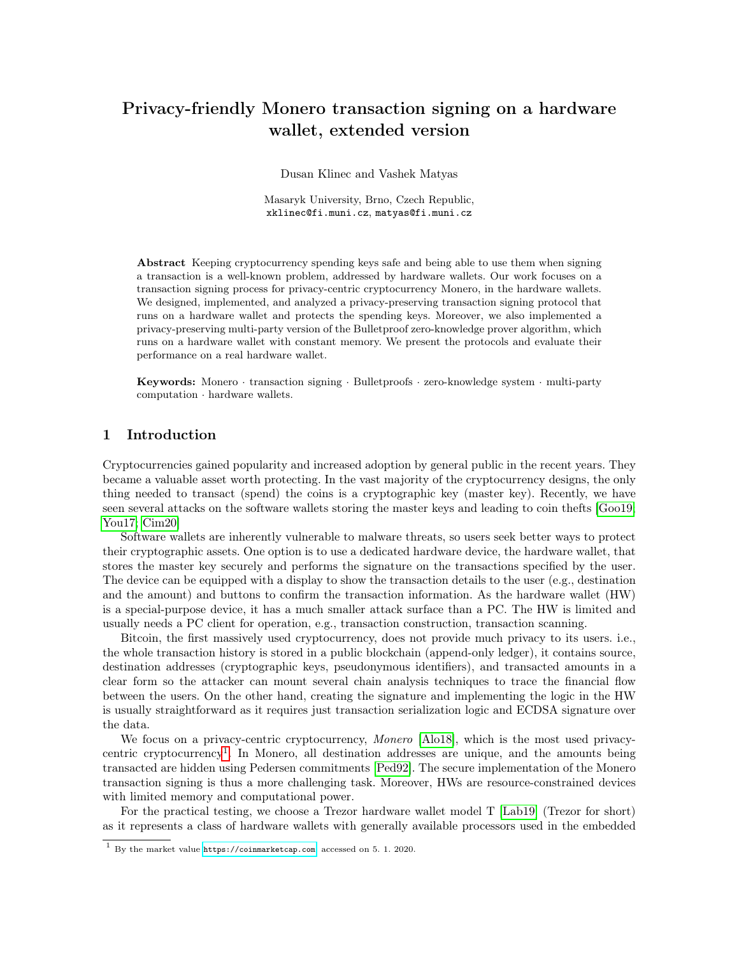# Privacy-friendly Monero transaction signing on a hardware wallet, extended version

Dusan Klinec and Vashek Matyas

Masaryk University, Brno, Czech Republic, xklinec@fi.muni.cz, matyas@fi.muni.cz

Abstract Keeping cryptocurrency spending keys safe and being able to use them when signing a transaction is a well-known problem, addressed by hardware wallets. Our work focuses on a transaction signing process for privacy-centric cryptocurrency Monero, in the hardware wallets. We designed, implemented, and analyzed a privacy-preserving transaction signing protocol that runs on a hardware wallet and protects the spending keys. Moreover, we also implemented a privacy-preserving multi-party version of the Bulletproof zero-knowledge prover algorithm, which runs on a hardware wallet with constant memory. We present the protocols and evaluate their performance on a real hardware wallet.

Keywords: Monero · transaction signing · Bulletproofs · zero-knowledge system · multi-party computation · hardware wallets.

# 1 Introduction

Cryptocurrencies gained popularity and increased adoption by general public in the recent years. They became a valuable asset worth protecting. In the vast majority of the cryptocurrency designs, the only thing needed to transact (spend) the coins is a cryptographic key (master key). Recently, we have seen several attacks on the software wallets storing the master keys and leading to coin thefts [\[Goo19;](#page-14-0) [You17;](#page-14-1) [Cim20\]](#page-14-2)

Software wallets are inherently vulnerable to malware threats, so users seek better ways to protect their cryptographic assets. One option is to use a dedicated hardware device, the hardware wallet, that stores the master key securely and performs the signature on the transactions specified by the user. The device can be equipped with a display to show the transaction details to the user (e.g., destination and the amount) and buttons to confirm the transaction information. As the hardware wallet (HW) is a special-purpose device, it has a much smaller attack surface than a PC. The HW is limited and usually needs a PC client for operation, e.g., transaction construction, transaction scanning.

Bitcoin, the first massively used cryptocurrency, does not provide much privacy to its users. i.e., the whole transaction history is stored in a public blockchain (append-only ledger), it contains source, destination addresses (cryptographic keys, pseudonymous identifiers), and transacted amounts in a clear form so the attacker can mount several chain analysis techniques to trace the financial flow between the users. On the other hand, creating the signature and implementing the logic in the HW is usually straightforward as it requires just transaction serialization logic and ECDSA signature over the data.

We focus on a privacy-centric cryptocurrency, Monero [\[Alo18\]](#page-14-3), which is the most used privacycentric cryptocurrency[1](#page-0-0) . In Monero, all destination addresses are unique, and the amounts being transacted are hidden using Pedersen commitments [\[Ped92\]](#page-13-0). The secure implementation of the Monero transaction signing is thus a more challenging task. Moreover, HWs are resource-constrained devices with limited memory and computational power.

For the practical testing, we choose a Trezor hardware wallet model T [\[Lab19\]](#page-14-4) (Trezor for short) as it represents a class of hardware wallets with generally available processors used in the embedded

<span id="page-0-0"></span> $^{\rm 1}$  By the market value <code><https://coinmarketcap.com></code>, accessed on 5. 1. 2020.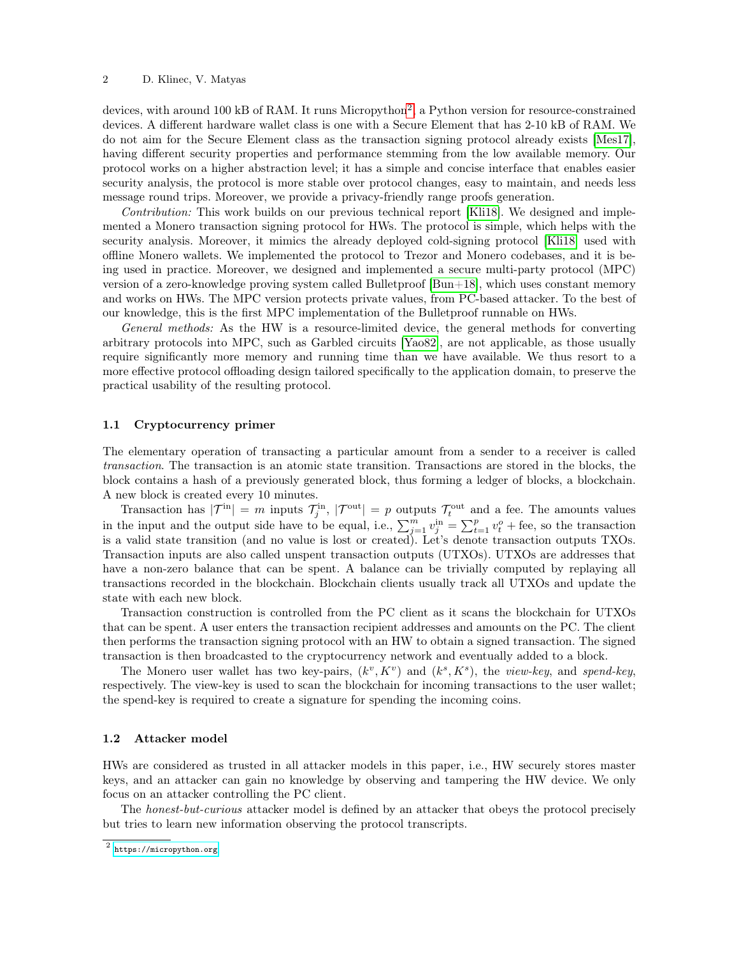devices, with around 100 kB of RAM. It runs Micropython<sup>[2](#page-1-0)</sup>, a Python version for resource-constrained devices. A different hardware wallet class is one with a Secure Element that has 2-10 kB of RAM. We do not aim for the Secure Element class as the transaction signing protocol already exists [\[Mes17\]](#page-14-5), having different security properties and performance stemming from the low available memory. Our protocol works on a higher abstraction level; it has a simple and concise interface that enables easier security analysis, the protocol is more stable over protocol changes, easy to maintain, and needs less message round trips. Moreover, we provide a privacy-friendly range proofs generation.

Contribution: This work builds on our previous technical report [\[Kli18\]](#page-14-6). We designed and implemented a Monero transaction signing protocol for HWs. The protocol is simple, which helps with the security analysis. Moreover, it mimics the already deployed cold-signing protocol [\[Kli18\]](#page-14-6) used with offline Monero wallets. We implemented the protocol to Trezor and Monero codebases, and it is being used in practice. Moreover, we designed and implemented a secure multi-party protocol (MPC) version of a zero-knowledge proving system called Bulletproof [\[Bun+18\]](#page-14-7), which uses constant memory and works on HWs. The MPC version protects private values, from PC-based attacker. To the best of our knowledge, this is the first MPC implementation of the Bulletproof runnable on HWs.

General methods: As the HW is a resource-limited device, the general methods for converting arbitrary protocols into MPC, such as Garbled circuits [\[Yao82\]](#page-13-1), are not applicable, as those usually require significantly more memory and running time than we have available. We thus resort to a more effective protocol offloading design tailored specifically to the application domain, to preserve the practical usability of the resulting protocol.

### 1.1 Cryptocurrency primer

The elementary operation of transacting a particular amount from a sender to a receiver is called transaction. The transaction is an atomic state transition. Transactions are stored in the blocks, the block contains a hash of a previously generated block, thus forming a ledger of blocks, a blockchain. A new block is created every 10 minutes.

Transaction has  $|\mathcal{T}^{\text{in}}| = m$  inputs  $\mathcal{T}^{\text{in}}_j$ ,  $|\mathcal{T}^{\text{out}}| = p$  outputs  $\mathcal{T}^{\text{out}}_t$  and a fee. The amounts values in the input and the output side have to be equal, i.e.,  $\sum_{j=1}^{m} v_j^{\text{in}} = \sum_{t=1}^{p} v_t^o$  + fee, so the transaction is a valid state transition (and no value is lost or created). Let's denote transaction outputs TXOs. Transaction inputs are also called unspent transaction outputs (UTXOs). UTXOs are addresses that have a non-zero balance that can be spent. A balance can be trivially computed by replaying all transactions recorded in the blockchain. Blockchain clients usually track all UTXOs and update the state with each new block.

Transaction construction is controlled from the PC client as it scans the blockchain for UTXOs that can be spent. A user enters the transaction recipient addresses and amounts on the PC. The client then performs the transaction signing protocol with an HW to obtain a signed transaction. The signed transaction is then broadcasted to the cryptocurrency network and eventually added to a block.

The Monero user wallet has two key-pairs,  $(k^v, K^v)$  and  $(k^s, K^s)$ , the *view-key*, and *spend-key*, respectively. The view-key is used to scan the blockchain for incoming transactions to the user wallet; the spend-key is required to create a signature for spending the incoming coins.

#### 1.2 Attacker model

HWs are considered as trusted in all attacker models in this paper, i.e., HW securely stores master keys, and an attacker can gain no knowledge by observing and tampering the HW device. We only focus on an attacker controlling the PC client.

The *honest-but-curious* attacker model is defined by an attacker that obeys the protocol precisely but tries to learn new information observing the protocol transcripts.

<span id="page-1-0"></span> $^2$  <https://micropython.org>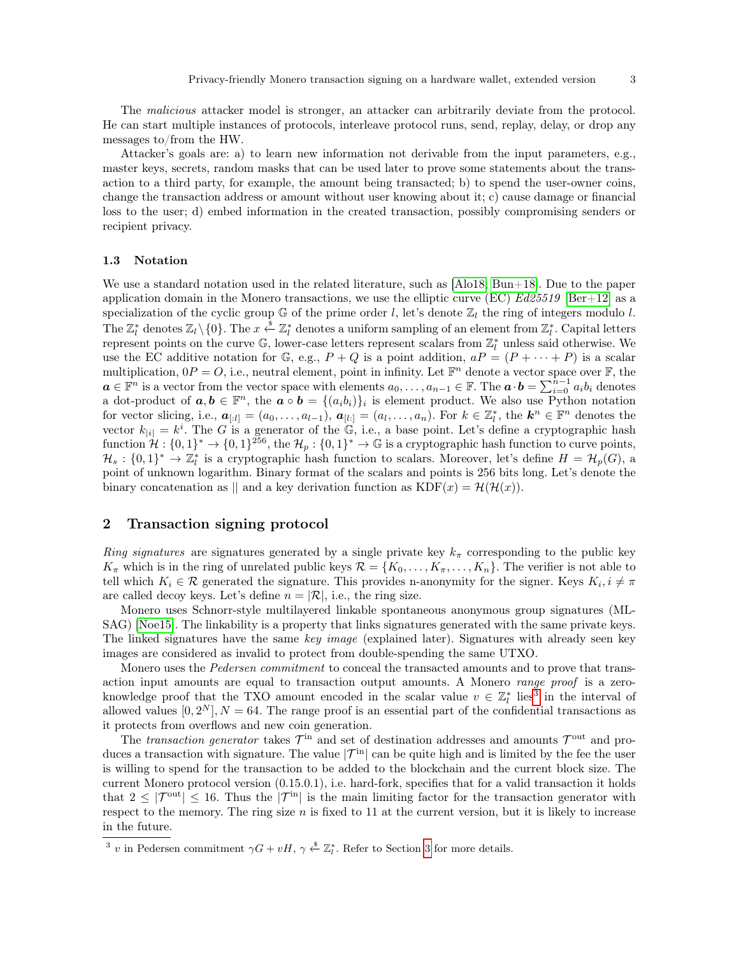The malicious attacker model is stronger, an attacker can arbitrarily deviate from the protocol. He can start multiple instances of protocols, interleave protocol runs, send, replay, delay, or drop any messages to/from the HW.

Attacker's goals are: a) to learn new information not derivable from the input parameters, e.g., master keys, secrets, random masks that can be used later to prove some statements about the transaction to a third party, for example, the amount being transacted; b) to spend the user-owner coins, change the transaction address or amount without user knowing about it; c) cause damage or financial loss to the user; d) embed information in the created transaction, possibly compromising senders or recipient privacy.

# 1.3 Notation

We use a standard notation used in the related literature, such as [\[Alo18;](#page-14-3) [Bun+18\]](#page-14-7). Due to the paper application domain in the Monero transactions, we use the elliptic curve (EC)  $Ed25519$  [\[Ber+12\]](#page-13-2) as a specialization of the cyclic group  $\mathbb{G}$  of the prime order l, let's denote  $\mathbb{Z}_l$  the ring of integers modulo l. The  $\mathbb{Z}_l^*$  denotes  $\mathbb{Z}_l \setminus \{0\}$ . The  $x \stackrel{\hspace{0.1em}\mathsf{\scriptscriptstyle\$}}{\leftarrow} \mathbb{Z}_l^*$  denotes a uniform sampling of an element from  $\mathbb{Z}_l^*$ . Capital letters represent points on the curve  $\mathbb{G}$ , lower-case letters represent scalars from  $\mathbb{Z}_l^*$  unless said otherwise. We use the EC additive notation for G, e.g.,  $P + Q$  is a point addition,  $aP = (P + \cdots + P)$  is a scalar multiplication,  $0P = O$ , i.e., neutral element, point in infinity. Let  $\mathbb{F}^n$  denote a vector space over  $\mathbb{F}$ , the  $a \in \mathbb{F}^n$  is a vector from the vector space with elements  $a_0, \ldots, a_{n-1} \in \mathbb{F}$ . The  $a \cdot b = \sum_{i=0}^{n-1} a_i b_i$  denotes a dot-product of  $a, b \in \mathbb{F}^n$ , the  $a \circ b = \{(a_i b_i)\}_i$  is element product. We also use Python notation for vector slicing, i.e.,  $a_{[i]} = (a_0, \ldots, a_{l-1}), a_{[i]} = (a_l, \ldots, a_n)$ . For  $k \in \mathbb{Z}_l^*$ , the  $k^n \in \mathbb{F}^n$  denotes the vector  $k_{[i]} = k^i$ . The G is a generator of the  $\mathbb{G}$ , i.e., a base point. Let's define a cryptographic hash function  $\mathcal{H}: \{0,1\}^* \to \{0,1\}^{256}$ , the  $\mathcal{H}_p: \{0,1\}^* \to \mathbb{G}$  is a cryptographic hash function to curve points,  $\mathcal{H}_s: \{0,1\}^* \to \mathbb{Z}_l^*$  is a cryptographic hash function to scalars. Moreover, let's define  $H = \mathcal{H}_p(G)$ , a point of unknown logarithm. Binary format of the scalars and points is 256 bits long. Let's denote the binary concatenation as  $\parallel$  and a key derivation function as  $KDF(x) = H(H(x)).$ 

# 2 Transaction signing protocol

Ring signatures are signatures generated by a single private key  $k_{\pi}$  corresponding to the public key  $K_{\pi}$  which is in the ring of unrelated public keys  $\mathcal{R} = \{K_0, \ldots, K_{\pi}, \ldots, K_n\}$ . The verifier is not able to tell which  $K_i \in \mathcal{R}$  generated the signature. This provides n-anonymity for the signer. Keys  $K_i, i \neq \pi$ are called decoy keys. Let's define  $n = |\mathcal{R}|$ , i.e., the ring size.

Monero uses Schnorr-style multilayered linkable spontaneous anonymous group signatures (ML-SAG) [\[Noe15\]](#page-13-3). The linkability is a property that links signatures generated with the same private keys. The linked signatures have the same key image (explained later). Signatures with already seen key images are considered as invalid to protect from double-spending the same UTXO.

Monero uses the Pedersen commitment to conceal the transacted amounts and to prove that transaction input amounts are equal to transaction output amounts. A Monero range proof is a zeroknowledge proof that the TXO amount encoded in the scalar value  $v \in \mathbb{Z}_l^*$  lies<sup>[3](#page-2-0)</sup> in the interval of allowed values  $[0, 2^N]$ ,  $N = 64$ . The range proof is an essential part of the confidential transactions as it protects from overflows and new coin generation.

The transaction generator takes  $\mathcal{T}^{\text{in}}$  and set of destination addresses and amounts  $\mathcal{T}^{\text{out}}$  and produces a transaction with signature. The value  $|\mathcal{T}^{\text{in}}|$  can be quite high and is limited by the fee the user is willing to spend for the transaction to be added to the blockchain and the current block size. The current Monero protocol version (0.15.0.1), i.e. hard-fork, specifies that for a valid transaction it holds that  $2 \leq |\mathcal{T}^{\text{out}}| \leq 16$ . Thus the  $|\mathcal{T}^{\text{in}}|$  is the main limiting factor for the transaction generator with respect to the memory. The ring size  $n$  is fixed to 11 at the current version, but it is likely to increase in the future.

<span id="page-2-0"></span><sup>&</sup>lt;sup>3</sup> v in Pedersen commitment  $\gamma G + vH$ ,  $\gamma \stackrel{\$}{\leftarrow} \mathbb{Z}_l^*$ . Refer to Section [3](#page-6-0) for more details.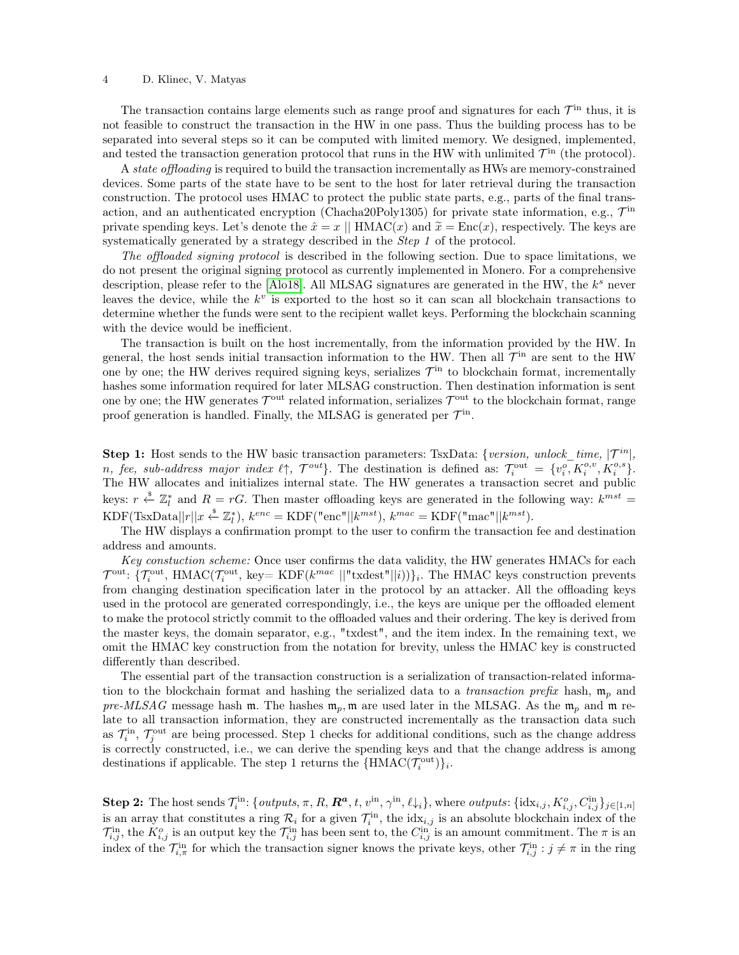The transaction contains large elements such as range proof and signatures for each  $\mathcal{T}^{\text{in}}$  thus, it is not feasible to construct the transaction in the HW in one pass. Thus the building process has to be separated into several steps so it can be computed with limited memory. We designed, implemented, and tested the transaction generation protocol that runs in the HW with unlimited  $\mathcal{T}^{\text{in}}$  (the protocol).

A state offloading is required to build the transaction incrementally as HWs are memory-constrained devices. Some parts of the state have to be sent to the host for later retrieval during the transaction construction. The protocol uses HMAC to protect the public state parts, e.g., parts of the final transaction, and an authenticated encryption (Chacha20Poly1305) for private state information, e.g.,  $\mathcal{T}^{\text{in}}$ private spending keys. Let's denote the  $\hat{x} = x \parallel \text{HMAC}(x)$  and  $\tilde{x} = \text{Enc}(x)$ , respectively. The keys are systematically generated by a strategy described in the Step 1 of the protocol.

The offloaded signing protocol is described in the following section. Due to space limitations, we do not present the original signing protocol as currently implemented in Monero. For a comprehensive description, please refer to the [\[Alo18\]](#page-14-3). All MLSAG signatures are generated in the HW, the  $k^s$  never leaves the device, while the  $k^v$  is exported to the host so it can scan all blockchain transactions to determine whether the funds were sent to the recipient wallet keys. Performing the blockchain scanning with the device would be inefficient.

The transaction is built on the host incrementally, from the information provided by the HW. In general, the host sends initial transaction information to the HW. Then all  $\mathcal{T}^{\text{in}}$  are sent to the HW one by one; the HW derives required signing keys, serializes  $\mathcal{T}^{\text{in}}$  to blockchain format, incrementally hashes some information required for later MLSAG construction. Then destination information is sent one by one; the HW generates  $\mathcal{T}^{\text{out}}$  related information, serializes  $\mathcal{T}^{\text{out}}$  to the blockchain format, range proof generation is handled. Finally, the MLSAG is generated per  $\mathcal{T}^{\text{in}}$ .

**Step 1:** Host sends to the HW basic transaction parameters: TsxData: {version, unlock time,  $|\mathcal{T}^{in}|$ , n, fee, sub-address major index  $\ell \uparrow$ ,  $\mathcal{T}^{out}$ . The destination is defined as:  $\mathcal{T}^{out}_i = \{v_i^o, K_i^{o,v}, K_i^{o,s}\}.$ The HW allocates and initializes internal state. The HW generates a transaction secret and public keys:  $r \stackrel{\$}{\leftarrow} \mathbb{Z}_l^*$  and  $R = rG$ . Then master offloading keys are generated in the following way:  $k^{mst} =$ KDF(TsxData||r||x  $\xi^* Z_l^*$ ),  $k^{enc} =$ KDF("enc"|| $k^{mst}$ ),  $k^{mac} =$ KDF("mac"|| $k^{mst}$ ).

The HW displays a confirmation prompt to the user to confirm the transaction fee and destination address and amounts.

Key constuction scheme: Once user confirms the data validity, the HW generates HMACs for each  $\mathcal{T}^{\text{out}}$ :  $\{\mathcal{T}^{\text{out}}_i$ , HMAC( $\mathcal{T}^{\text{out}}_i$ , key= KDF( $k^{mac}$  ||"txdest"||i))}<sub>i</sub>. The HMAC keys construction prevents from changing destination specification later in the protocol by an attacker. All the offloading keys used in the protocol are generated correspondingly, i.e., the keys are unique per the offloaded element to make the protocol strictly commit to the offloaded values and their ordering. The key is derived from the master keys, the domain separator, e.g., "txdest", and the item index. In the remaining text, we omit the HMAC key construction from the notation for brevity, unless the HMAC key is constructed differently than described.

The essential part of the transaction construction is a serialization of transaction-related information to the blockchain format and hashing the serialized data to a transaction prefix hash,  $\mathfrak{m}_p$  and pre-MLSAG message hash m. The hashes  $\mathfrak{m}_p$ , m are used later in the MLSAG. As the  $\mathfrak{m}_p$  and m relate to all transaction information, they are constructed incrementally as the transaction data such as  $\mathcal{T}_i^{\text{in}}, \mathcal{T}_j^{\text{out}}$  are being processed. Step 1 checks for additional conditions, such as the change address is correctly constructed, i.e., we can derive the spending keys and that the change address is among destinations if applicable. The step 1 returns the  $\{\text{HMAC}(\mathcal{T}^{\text{out}}_i)\}_i$ .

**Step 2:** The host sends  $\mathcal{T}_i^{\text{in}}$ : {*outputs*,  $\pi$ ,  $R$ ,  $\mathbb{R}^a$ ,  $t$ ,  $v^{\text{in}}$ ,  $\gamma^{\text{in}}$ ,  $\ell \downarrow_i$ }, where *outputs*: { $\text{idx}_{i,j}$ ,  $K_{i,j}^o$ ,  $C_{i,j}^{\text{in}}$ } $\}_{j \in [1,n]}$ is an array that constitutes a ring  $\mathcal{R}_i$  for a given  $\mathcal{T}_i^{\text{in}}$ , the  $\text{idx}_{i,j}$  is an absolute blockchain index of the  $\mathcal{T}_{i,j}^{\text{in}}$ , the  $K_{i,j}^o$  is an output key the  $\mathcal{T}_{i,j}^{\text{in}}$  has been sent to, the  $C_{i,j}^{\text{in}}$  is an amount commitment. The  $\pi$  is an index of the  $\mathcal{T}_{i,\pi}^{\text{in}}$  for which the transaction signer knows the private keys, other  $\mathcal{T}_{i,j}^{\text{in}} : j \neq \pi$  in the ring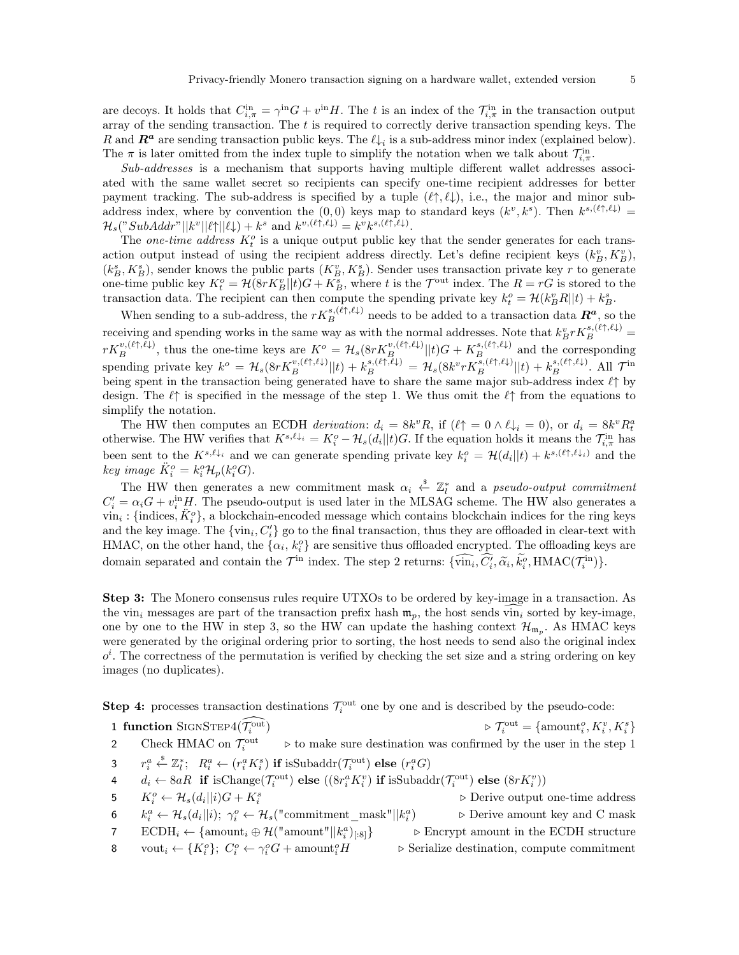are decoys. It holds that  $C_{i,\pi}^{\text{in}} = \gamma^{\text{in}}G + v^{\text{in}}H$ . The t is an index of the  $\mathcal{T}_{i,\pi}^{\text{in}}$  in the transaction output array of the sending transaction. The  $t$  is required to correctly derive transaction spending keys. The

R and  $\mathbb{R}^a$  are sending transaction public keys. The  $\ell \downarrow_i$  is a sub-address minor index (explained below). The  $\pi$  is later omitted from the index tuple to simplify the notation when we talk about  $\mathcal{T}_{i,\pi}^{\text{in}}$ . Sub-addresses is a mechanism that supports having multiple different wallet addresses associ-

ated with the same wallet secret so recipients can specify one-time recipient addresses for better payment tracking. The sub-address is specified by a tuple  $(\ell \uparrow, \ell \downarrow)$ , i.e., the major and minor subaddress index, where by convention the  $(0,0)$  keys map to standard keys  $(k^v, k^s)$ . Then  $k^{s,(\ell^s, \ell^t)}$  $\mathcal{H}_s("SubAddr"|k^v||\ell^{\uparrow}||\ell^{\downarrow}) + k^s$  and  $k^{v,(\ell^{\uparrow},\ell^{\downarrow})} = k^v k^{s,(\ell^{\uparrow},\ell^{\downarrow})}$ .

The one-time address  $K_t^o$  is a unique output public key that the sender generates for each transaction output instead of using the recipient address directly. Let's define recipient keys  $(k_B^v, K_B^v)$ ,  $(k_B^s, K_B^s)$ , sender knows the public parts  $(K_B^v, K_B^s)$ . Sender uses transaction private key r to generate one-time public key  $K_t^o = \mathcal{H}(8rK_B^v||t)G + K_B^s$ , where t is the  $\mathcal{T}^{out}$  index. The  $R = rG$  is stored to the transaction data. The recipient can then compute the spending private key  $k_t^o = \mathcal{H}(k_B^v R || t) + k_B^s$ .

When sending to a sub-address, the  $rK_B^{s,(\ell\uparrow,\ell\downarrow)}$  needs to be added to a transaction data  $\mathbb{R}^a$ , so the receiving and spending works in the same way as with the normal addresses. Note that  $k_B^v r K_B^{s,(\ell^*,\ell_+)}$  $rK_B^{v,(\ell\uparrow,\ell\downarrow)}$ , thus the one-time keys are  $K^o = \mathcal{H}_s(8rK_B^{v,(\ell\uparrow,\ell\downarrow)}||t)G + K_B^{s,(\ell\uparrow,\ell\downarrow)}$  and the corresponding spending private key  $k^o = \mathcal{H}_s(8rK_B^{v,(\ell\uparrow,\ell\downarrow)}||t) + k_B^{s,(\ell\uparrow,\ell\downarrow)} = \mathcal{H}_s(8k^v rK_B^{s,(\ell\uparrow,\ell\downarrow)}||t) + k_B^{s,(\ell\uparrow,\ell\downarrow)}$ . All  $\mathcal{T}^{\text{in}}$ being spent in the transaction being generated have to share the same major sub-address index  $\ell \uparrow$  by design. The  $\ell \uparrow$  is specified in the message of the step 1. We thus omit the  $\ell \uparrow$  from the equations to simplify the notation.

The HW then computes an ECDH *derivation*:  $d_i = 8k^v R$ , if  $(\ell \uparrow = 0 \land \ell \downarrow_i = 0)$ , or  $d_i = 8k^v R_t^a$ otherwise. The HW verifies that  $K^{s,\ell\downarrow_i} = K_i^o - \mathcal{H}_s(d_i||t)G$ . If the equation holds it means the  $\mathcal{T}_{i,\pi}^{\text{in}}$  has been sent to the  $K^{s,\ell\downarrow}$  and we can generate spending private key  $k_i^o = \mathcal{H}(d_i||t) + k^{s,(\ell\uparrow,\ell\downarrow_i)}$  and the  $key\ image\ \ddot{K}_i^o = k_i^o \mathcal{H}_p(k_i^o G).$ 

The HW then generates a new commitment mask  $\alpha_i \stackrel{\hspace{0.1em}\mathsf{\scriptscriptstyle\$}}{ \sim} \mathbb{Z}_l^*$  and a pseudo-output commitment  $C_i' = \alpha_i G + v_i^{\text{in}} H$ . The pseudo-output is used later in the MLSAG scheme. The HW also generates a  $\sin_i$ : {indices,  $\ddot{K}^o_i$ }, a blockchain-encoded message which contains blockchain indices for the ring keys and the key image. The  $\{ \text{vin}_i, C'_i \}$  go to the final transaction, thus they are offloaded in clear-text with HMAC, on the other hand, the  $\{\alpha_i, k_i^o\}$  are sensitive thus offloaded encrypted. The offloading keys are domain separated and contain the  $\mathcal{T}^{\text{in}}$  index. The step 2 returns:  $\{\overline{\text{vin}}_i, C'_i, \widetilde{\alpha}_i, k_i^o, \text{HMAC}(\mathcal{T}_i^{\text{in}})\}.$ 

Step 3: The Monero consensus rules require UTXOs to be ordered by key-image in a transaction. As the vin<sub>i</sub> messages are part of the transaction prefix hash  $\mathfrak{m}_p$ , the host sends vin<sub>i</sub> sorted by key-image, one by one to the HW in step 3, so the HW can update the hashing context  $\mathcal{H}_{\mathfrak{m}_p}$ . As HMAC keys were generated by the original ordering prior to sorting, the host needs to send also the original index  $o^i$ . The correctness of the permutation is verified by checking the set size and a string ordering on key images (no duplicates).

**Step 4:** processes transaction destinations  $\mathcal{T}^{\text{out}}_i$  one by one and is described by the pseudo-code:

1 function SIGNSTEP4 $(\widehat{\mathcal{T}^{\text{out}}_i}$ ) by  $\mathcal T$  $\mathcal{F}^{\text{out}}_i = \{\text{amount}_i^o, K_i^v, K_i^s\}$ 2 Check HMAC on  $\mathcal{T}_i^{\text{out}}$  b to make sure destination was confirmed by the user in the step 1 3  $r_i^a \stackrel{\$}{\leftarrow} \mathbb{Z}_l^*$ ;  $R_i^a \leftarrow (r_i^a K_i^s)$  if isSubaddr $(\mathcal{T}_i^{\text{out}})$  else  $(r_i^a G)$ 4  $d_i \leftarrow 8aR$  if isChange( $\mathcal{T}_i^{\text{out}}$ ) else ( $(8r_i^a K_i^v)$  if isSubaddr( $\mathcal{T}_i^{\text{out}}$ ) else  $(8rK_i^v)$ ) 5  $K_i^o \leftarrow \mathcal{H}_s(d_i||i)G + K_i^s$  $\triangleright$  Derive output one-time address 6  $k_i^a \leftarrow \mathcal{H}_s(d_i||i); \ \gamma_i^o \leftarrow \mathcal{H}_s("commitment\_mask"]|k_i^a)$  $\triangleright$  Derive amount key and C mask 7 ECDH<sub>i</sub> ← {amount<sub>i</sub> ⊕ H("amount"|| $k_i^a$  $\triangleright$  Encrypt amount in the ECDH structure 8 vout<sub>i</sub>  $\leftarrow \{K_i^o\}; C_i^o \leftarrow \gamma_i^o G + \text{amount}_i^o$  $\triangleright$  Serialize destination, compute commitment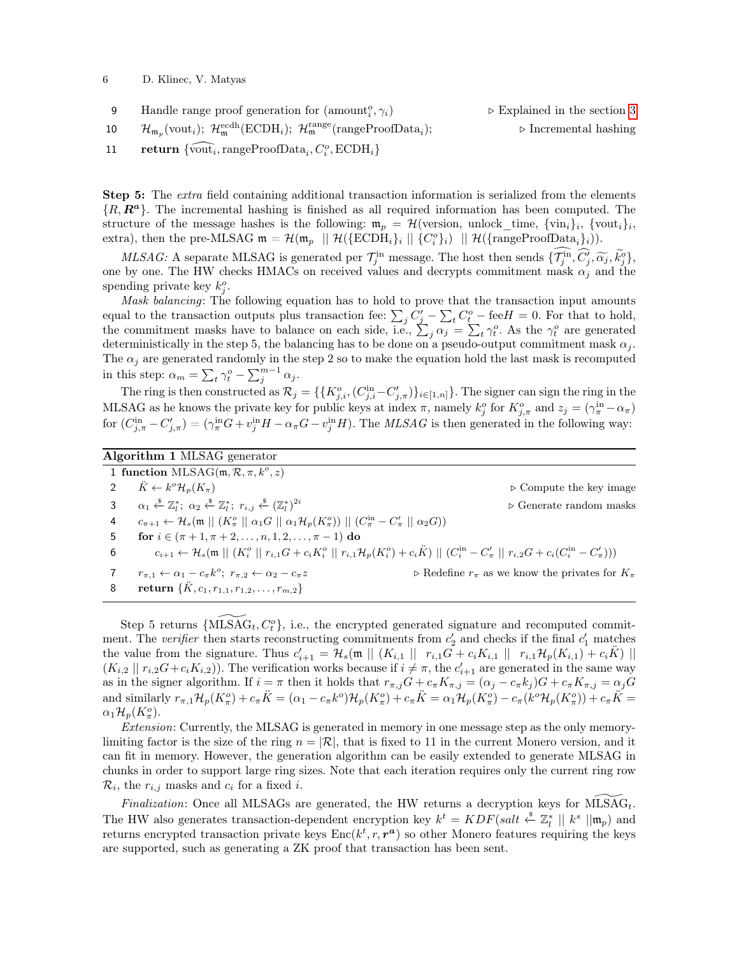- 9 Handle range proof generation for  $\text{(amount}^o_i)$  $\triangleright$  Explained in the section [3](#page-6-0) 10  $\mathcal{H}_{\mathfrak{m}_p}(\text{vout}_i); \ \mathcal{H}_{\mathfrak{m}}^{\text{ecdh}}(\text{ECDH}_i); \ \mathcal{H}_{\mathfrak{m}}^{\text{range}}(\text{rangeProofData}_i)$  $\triangleright$  Incremental hashing
- 11 return  $\lbrace \widehat{\text{vout}_i}, \text{rangeProofData}_i, C_i^o, \text{ECDH}_i \rbrace$

**Step 5:** The *extra* field containing additional transaction information is serialized from the elements  $\{R, \mathbf{R}^a\}$ . The incremental hashing is finished as all required information has been computed. The structure of the message hashes is the following:  $\mathfrak{m}_p = \mathcal{H}(\text{version}, \text{ unlock\_time}, \{\text{vin}_i\}_i, \{\text{vout}_i\}_i,$ extra), then the pre-MLSAG  $\mathfrak{m} = \mathcal{H}(\mathfrak{m}_p \mid \mid \mathcal{H}(\{\text{ECDH}_i\}_i \mid \mid \{C_i^o\}_i) \mid \mid \mathcal{H}(\{\text{rangeProofData}_i\}_i)).$ 

MLSAG: A separate MLSAG is generated per  $\mathcal{T}_j^{\text{in}}$  message. The host then sends  $\{\mathcal{T}_j^{\text{in}}, \mathcal{C}_j, \widetilde{\alpha}_j, k_j^o\}$ , by one The HW chocks HMAGs on received values and decrypts commitment mask  $\alpha_i$  and the one by one. The HW checks HMACs on received values and decrypts commitment mask  $\alpha_j$  and the spending private key  $k_j^o$ .

Mask balancing: The following equation has to hold to prove that the transaction input amounts equal to the transaction outputs plus transaction fee:  $\sum_j C'_j - \sum_t C_t^o$  – fee  $H = 0$ . For that to hold, the commitment masks have to balance on each side, i.e.,  $\sum_j \alpha_j = \sum_t \gamma_t^o$ . As the  $\gamma_t^o$  are generated deterministically in the step 5, the balancing has to be done on a pseudo-output commitment mask  $\alpha_j$ . The  $\alpha_i$  are generated randomly in the step 2 so to make the equation hold the last mask is recomputed in this step:  $\alpha_m = \sum_t \gamma_t^o - \sum_j^{m-1} \alpha_j$ .

The ring is then constructed as  $\mathcal{R}_j = \{\{K_{j,i}^o, (C_{j,i}^{\text{in}} - C'_{j,\pi})\}_{i \in [1,n]}\}\.$  The signer can sign the ring in the MLSAG as he knows the private key for public keys at index  $\pi$ , namely  $k_j^o$  for  $K_{j,\pi}^o$  and  $z_j = (\gamma_{\pi}^{\text{in}} - \alpha_{\pi})$ for  $(C_{j,\pi}^{in} - C'_{j,\pi}) = (\gamma_{\pi}^{in}G + v_j^{in}H - \alpha_{\pi}G - v_j^{in}H)$ . The *MLSAG* is then generated in the following way:

| <b>Algorithm 1 MLSAG</b> generator |                                                                                                                                                                                                                                          |                                                                           |  |  |  |  |
|------------------------------------|------------------------------------------------------------------------------------------------------------------------------------------------------------------------------------------------------------------------------------------|---------------------------------------------------------------------------|--|--|--|--|
|                                    | 1 function MLSAG(m, $\mathcal{R}, \pi, k^o, z$ )                                                                                                                                                                                         |                                                                           |  |  |  |  |
|                                    | 2 $\ddot{K} \leftarrow k^{\circ} \mathcal{H}_p(K_{\pi})$                                                                                                                                                                                 | $\triangleright$ Compute the key image                                    |  |  |  |  |
| 3                                  | $\alpha_1 \stackrel{\$}{\leftarrow} \mathbb{Z}_l^*$ ; $\alpha_2 \stackrel{\$}{\leftarrow} \mathbb{Z}_l^*$ ; $r_{i,j} \stackrel{\$}{\leftarrow} (\mathbb{Z}_l^*)^{2i}$                                                                    | $\triangleright$ Generate random masks                                    |  |  |  |  |
| 4                                  | $c_{\pi+1} \leftarrow \mathcal{H}_s(\mathfrak{m} \mid \mid (K_{\pi}^o \mid \mid \alpha_1 G \mid \mid \alpha_1 \mathcal{H}_p(K_{\pi}^o)) \mid \mid (C_{\pi}^{\text{in}} - C_{\pi}' \mid \mid \alpha_2 G))$                                |                                                                           |  |  |  |  |
| 5                                  | for $i \in (\pi + 1, \pi + 2, \ldots, n, 1, 2, \ldots, \pi - 1)$ do                                                                                                                                                                      |                                                                           |  |  |  |  |
| 6                                  | $c_{i+1} \leftarrow \mathcal{H}_s(\mathfrak{m} \mid \mid (K_i^o \mid \mid r_{i,1}G + c_iK_i^o \mid \mid r_{i,1}\mathcal{H}_p(K_i^o) + c_iK) \mid \mid (C_i^{\text{in}} - C_{\pi}' \mid \mid r_{i,2}G + c_i(C_i^{\text{in}} - C_{\pi}'))$ |                                                                           |  |  |  |  |
|                                    | $r_{\pi,1} \leftarrow \alpha_1 - c_{\pi} k^{\circ}; r_{\pi,2} \leftarrow \alpha_2 - c_{\pi} z$                                                                                                                                           | $\triangleright$ Redefine $r_{\pi}$ as we know the privates for $K_{\pi}$ |  |  |  |  |
| -8                                 | return $\{\ddot{K}, c_1, r_{1,1}, r_{1,2}, \ldots, r_{m,2}\}\$                                                                                                                                                                           |                                                                           |  |  |  |  |

Step 5 returns  $\{\widetilde{\text{MLSAG}}_t, C_t^o\}$ , i.e., the encrypted generated signature and recomputed commitment. The verifier then starts reconstructing commitments from  $c'_2$  and checks if the final  $c'_1$  matches the value from the signature. Thus  $c'_{i+1} = \mathcal{H}_s(\mathfrak{m} \mid \mid (K_{i,1} \mid \mid r_{i,1}G + c_i K_{i,1} \mid \mid r_{i,1}\mathcal{H}_p(K_{i,1}) + c_i K) \mid \mid$  $(K_{i,2} \mid r_{i,2}G + c_iK_{i,2})$ ). The verification works because if  $i \neq \pi$ , the  $c'_{i+1}$  are generated in the same way as in the signer algorithm. If  $i = \pi$  then it holds that  $r_{\pi,j}G + c_{\pi}K_{\pi,j} = (\alpha_j - c_{\pi}k_j)G + c_{\pi}K_{\pi,j} = \alpha_jG$ and similarly  $r_{\pi,1} \mathcal{H}_p(K_\pi^o) + c_\pi \ddot{K} = (\alpha_1 - c_\pi k^o) \mathcal{H}_p(K_\pi^o) + c_\pi \ddot{K} = \alpha_1 \mathcal{H}_p(K_\pi^o) - c_\pi(k^o \mathcal{H}_p(K_\pi^o)) + c_\pi \ddot{K} =$  $\alpha_1 \mathcal{H}_p(K_\pi^o).$ 

Extension: Currently, the MLSAG is generated in memory in one message step as the only memorylimiting factor is the size of the ring  $n = |\mathcal{R}|$ , that is fixed to 11 in the current Monero version, and it can fit in memory. However, the generation algorithm can be easily extended to generate MLSAG in chunks in order to support large ring sizes. Note that each iteration requires only the current ring row  $\mathcal{R}_i$ , the  $r_{i,j}$  masks and  $c_i$  for a fixed i.

Finalization: Once all MLSAGs are generated, the HW returns a decryption keys for  $\widetilde{\text{MLSAG}}_t$ . The HW also generates transaction-dependent encryption key  $k^t = KDF(salt \stackrel{s}{\leftarrow} \mathbb{Z}_l^* || k^s || \mathfrak{m}_p)$  and returns encrypted transaction private keys  $Enc(k^t, r, r^a)$  so other Monero features requiring the keys are supported, such as generating a ZK proof that transaction has been sent.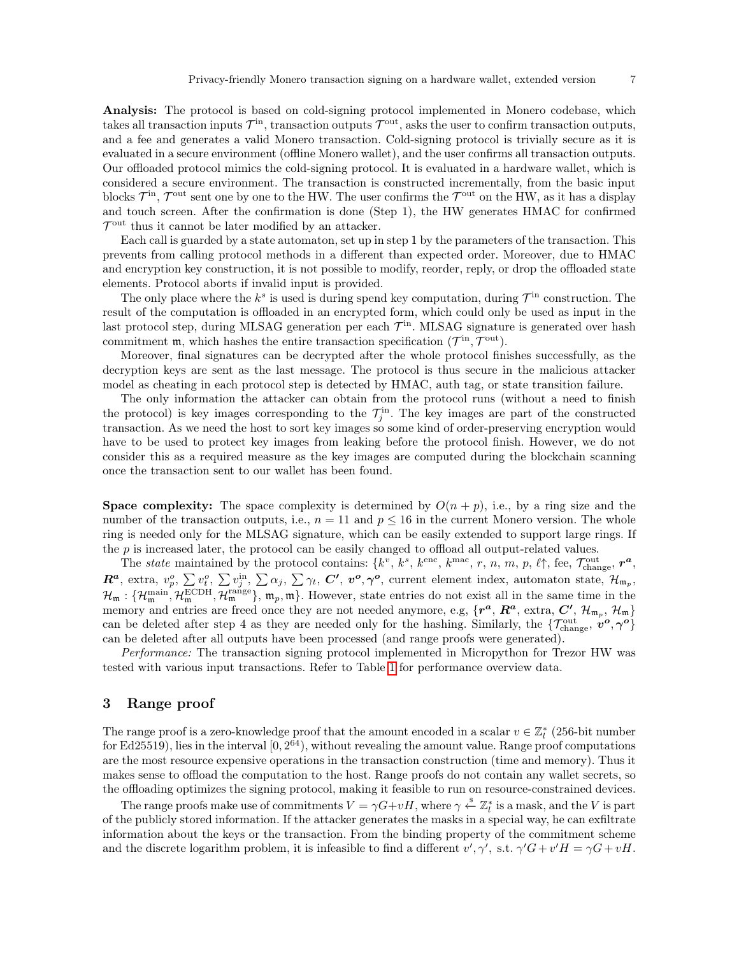Analysis: The protocol is based on cold-signing protocol implemented in Monero codebase, which takes all transaction inputs  $\mathcal{T}^{\text{in}}$ , transaction outputs  $\mathcal{T}^{\text{out}}$ , asks the user to confirm transaction outputs, and a fee and generates a valid Monero transaction. Cold-signing protocol is trivially secure as it is evaluated in a secure environment (offline Monero wallet), and the user confirms all transaction outputs. Our offloaded protocol mimics the cold-signing protocol. It is evaluated in a hardware wallet, which is considered a secure environment. The transaction is constructed incrementally, from the basic input blocks  $\mathcal{T}^{\text{in}}$ ,  $\mathcal{T}^{\text{out}}$  sent one by one to the HW. The user confirms the  $\mathcal{T}^{\text{out}}$  on the HW, as it has a display and touch screen. After the confirmation is done (Step 1), the HW generates HMAC for confirmed  $\mathcal{T}^{\text{out}}$  thus it cannot be later modified by an attacker.

Each call is guarded by a state automaton, set up in step 1 by the parameters of the transaction. This prevents from calling protocol methods in a different than expected order. Moreover, due to HMAC and encryption key construction, it is not possible to modify, reorder, reply, or drop the offloaded state elements. Protocol aborts if invalid input is provided.

The only place where the  $k^s$  is used is during spend key computation, during  $\mathcal{T}^{\text{in}}$  construction. The result of the computation is offloaded in an encrypted form, which could only be used as input in the last protocol step, during MLSAG generation per each  $\mathcal{T}^{\text{in}}$ . MLSAG signature is generated over hash commitment  $m$ , which hashes the entire transaction specification  $(\mathcal{T}^{\text{in}}, \mathcal{T}^{\text{out}})$ .

Moreover, final signatures can be decrypted after the whole protocol finishes successfully, as the decryption keys are sent as the last message. The protocol is thus secure in the malicious attacker model as cheating in each protocol step is detected by HMAC, auth tag, or state transition failure.

The only information the attacker can obtain from the protocol runs (without a need to finish the protocol) is key images corresponding to the  $\mathcal{T}_j^{\text{in}}$ . The key images are part of the constructed transaction. As we need the host to sort key images so some kind of order-preserving encryption would have to be used to protect key images from leaking before the protocol finish. However, we do not consider this as a required measure as the key images are computed during the blockchain scanning once the transaction sent to our wallet has been found.

**Space complexity:** The space complexity is determined by  $O(n + p)$ , i.e., by a ring size and the number of the transaction outputs, i.e.,  $n = 11$  and  $p \le 16$  in the current Monero version. The whole ring is needed only for the MLSAG signature, which can be easily extended to support large rings. If the p is increased later, the protocol can be easily changed to offload all output-related values.

The *state* maintained by the protocol contains:  $\{k^v, k^s, k^{\text{enc}}, k^{\text{mac}}, r, n, m, p, \ell\uparrow, \text{fee}, \mathcal{T}^{\text{out}}_{\text{change}}, r^a,$  $\mathbf{R}^a$ , extra,  $v_p^o$ ,  $\sum v_i^o$ ,  $\sum v_j^{\text{in}}$ ,  $\sum \alpha_j$ ,  $\sum \gamma_t$ ,  $\mathbf{C}'$ ,  $v^o$ ,  $\gamma^o$ , current element index, automaton state,  $\mathcal{H}_{\mathfrak{m}_p}$ ,  $\mathcal{H}_{\mathfrak{m}}: \{\mathcal{H}_{\mathfrak{m}}^{\text{main}}, \mathcal{H}_{\mathfrak{m}}^{\text{group}}, \mathcal{H}_{\mathfrak{m}}^{\text{range}}\}, \mathfrak{m}_p, \mathfrak{m}\}.$  However, state entries do not exist all in the same time in the memory and entries are freed once they are not needed anymore, e.g,  $\{r^a, R^a, \text{extra}, C', \mathcal{H}_{\mathfrak{m}_p}, \mathcal{H}_{\mathfrak{m}}\}$ can be deleted after step 4 as they are needed only for the hashing. Similarly, the  $\{ \mathcal{T}_{change}^{out}, v^o, \gamma^o \}$ can be deleted after all outputs have been processed (and range proofs were generated).

Performance: The transaction signing protocol implemented in Micropython for Trezor HW was tested with various input transactions. Refer to Table [1](#page-7-0) for performance overview data.

# <span id="page-6-0"></span>3 Range proof

The range proof is a zero-knowledge proof that the amount encoded in a scalar  $v \in \mathbb{Z}_l^*$  (256-bit number for Ed25519), lies in the interval  $[0, 2^{64})$ , without revealing the amount value. Range proof computations are the most resource expensive operations in the transaction construction (time and memory). Thus it makes sense to offload the computation to the host. Range proofs do not contain any wallet secrets, so the offloading optimizes the signing protocol, making it feasible to run on resource-constrained devices.

The range proofs make use of commitments  $V = \gamma G + vH$ , where  $\gamma \stackrel{\hspace{0.1em}\mathsf{\scriptscriptstyle\$}}{\leftarrow} \mathbb{Z}_l^*$  is a mask, and the V is part of the publicly stored information. If the attacker generates the masks in a special way, he can exfiltrate information about the keys or the transaction. From the binding property of the commitment scheme and the discrete logarithm problem, it is infeasible to find a different  $v', \gamma'$ , s.t.  $\gamma' G + v' H = \gamma G + v H$ .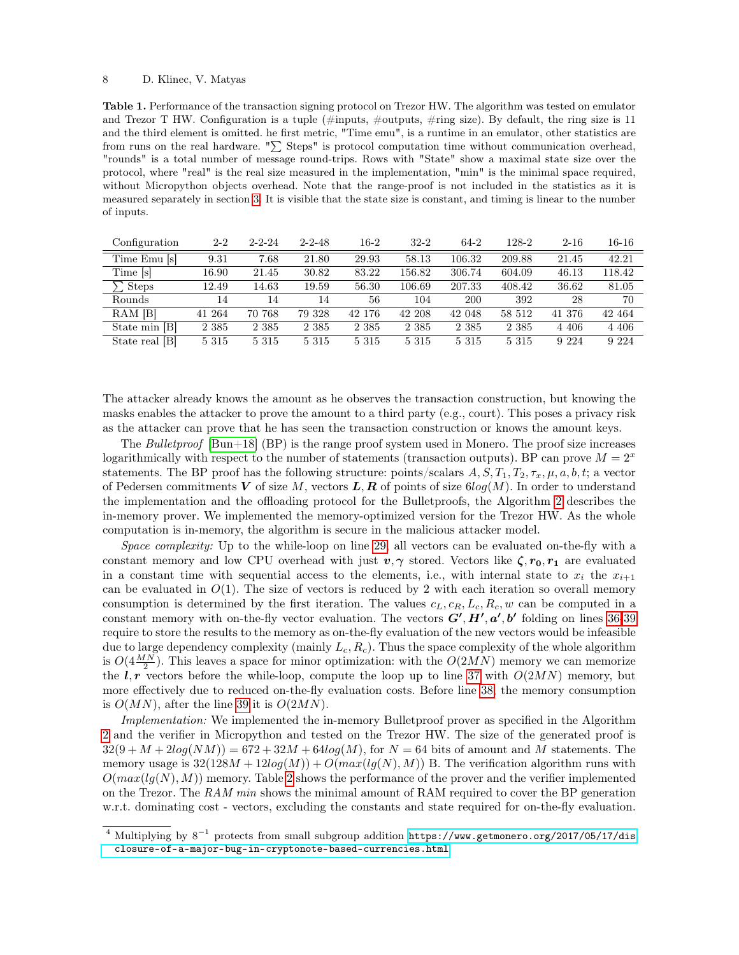<span id="page-7-0"></span>Table 1. Performance of the transaction signing protocol on Trezor HW. The algorithm was tested on emulator and Trezor T HW. Configuration is a tuple ( $\#$ inputs,  $\#$ outputs,  $\#$ ring size). By default, the ring size is 11 and the third element is omitted. he first metric, "Time emu", is a runtime in an emulator, other statistics are from runs on the real hardware. " $\sum$  Steps" is protocol computation time without communication overhead, "rounds" is a total number of message round-trips. Rows with "State" show a maximal state size over the protocol, where "real" is the real size measured in the implementation, "min" is the minimal space required, without Micropython objects overhead. Note that the range-proof is not included in the statistics as it is measured separately in section [3.](#page-6-0) It is visible that the state size is constant, and timing is linear to the number of inputs.

| Configuration     | $2 - 2$ | $2 - 2 - 24$ | $2 - 2 - 48$ | $16-2$  | $32-2$  | 64-2    | 128-2   | $2 - 16$ | 16-16   |
|-------------------|---------|--------------|--------------|---------|---------|---------|---------|----------|---------|
| Time Emu [s]      | 9.31    | 7.68         | 21.80        | 29.93   | 58.13   | 106.32  | 209.88  | 21.45    | 42.21   |
| Time [s]          | 16.90   | 21.45        | 30.82        | 83.22   | 156.82  | 306.74  | 604.09  | 46.13    | 118.42  |
| <b>Steps</b>      | 12.49   | 14.63        | 19.59        | 56.30   | 106.69  | 207.33  | 408.42  | 36.62    | 81.05   |
| Rounds            | 14      | 14           | 14           | 56      | 104     | 200     | 392     | 28       | 70      |
| RAM [B]           | 41 264  | 70 768       | 79 328       | 42 176  | 42 208  | 42 048  | 58 512  | 41 376   | 42 464  |
| State min [B]     | 2 3 8 5 | 2 3 8 5      | 2 3 8 5      | 2 3 8 5 | 2 3 8 5 | 2 3 8 5 | 2 3 8 5 | 4 4 0 6  | 4 4 0 6 |
| [B]<br>State real | 5 3 1 5 | 5 3 1 5      | 5 3 1 5      | 5 3 1 5 | 5 3 1 5 | 5 3 1 5 | 5 3 1 5 | 9 2 2 4  | 9 2 2 4 |

The attacker already knows the amount as he observes the transaction construction, but knowing the masks enables the attacker to prove the amount to a third party (e.g., court). This poses a privacy risk as the attacker can prove that he has seen the transaction construction or knows the amount keys.

The Bulletproof  $[Bun+18]$   $(BP)$  is the range proof system used in Monero. The proof size increases logarithmically with respect to the number of statements (transaction outputs). BP can prove  $M = 2<sup>x</sup>$ statements. The BP proof has the following structure: points/scalars  $A, S, T_1, T_2, \tau_x, \mu, a, b, t$ ; a vector of Pedersen commitments V of size M, vectors L, R of points of size  $6log(M)$ . In order to understand the implementation and the offloading protocol for the Bulletproofs, the Algorithm [2](#page-8-0) describes the in-memory prover. We implemented the memory-optimized version for the Trezor HW. As the whole computation is in-memory, the algorithm is secure in the malicious attacker model.

Space complexity: Up to the while-loop on line [29,](#page-8-0) all vectors can be evaluated on-the-fly with a constant memory and low CPU overhead with just  $v, \gamma$  stored. Vectors like  $\zeta, r_0, r_1$  are evaluated in a constant time with sequential access to the elements, i.e., with internal state to  $x_i$  the  $x_{i+1}$ can be evaluated in  $O(1)$ . The size of vectors is reduced by 2 with each iteration so overall memory consumption is determined by the first iteration. The values  $c<sub>L</sub>, c<sub>R</sub>, L<sub>c</sub>, R<sub>c</sub>, w$  can be computed in a constant memory with on-the-fly vector evaluation. The vectors  $G', H', a', b'$  folding on lines [36-39](#page-8-0) require to store the results to the memory as on-the-fly evaluation of the new vectors would be infeasible due to large dependency complexity (mainly  $L_c, R_c$ ). Thus the space complexity of the whole algorithm is  $O(4\frac{MN}{2})$ . This leaves a space for minor optimization: with the  $O(2MN)$  memory we can memorize the  $l, r$  vectors before the while-loop, compute the loop up to line [37](#page-8-0) with  $O(2MN)$  memory, but more effectively due to reduced on-the-fly evaluation costs. Before line [38,](#page-8-0) the memory consumption is  $O(MN)$ , after the line [39](#page-8-0) it is  $O(2MN)$ .

Implementation: We implemented the in-memory Bulletproof prover as specified in the Algorithm [2](#page-8-0) and the verifier in Micropython and tested on the Trezor HW. The size of the generated proof is  $32(9 + M + 2log(NM)) = 672 + 32M + 64log(M)$ , for  $N = 64$  bits of amount and M statements. The memory usage is  $32(128M + 12log(M)) + O(max(lq(N), M))$  B. The verification algorithm runs with  $O(max(lq(N), M))$  memory. Table [2](#page-9-0) shows the performance of the prover and the verifier implemented on the Trezor. The RAM min shows the minimal amount of RAM required to cover the BP generation w.r.t. dominating cost - vectors, excluding the constants and state required for on-the-fly evaluation.

<span id="page-7-1"></span> $^4$  Multiplying by  $8^{-1}$  protects from small subgroup addition  $\texttt{https://www.getmonero.org/2017/05/17/dis}$  $\texttt{https://www.getmonero.org/2017/05/17/dis}$  $\texttt{https://www.getmonero.org/2017/05/17/dis}$ [closure-of-a-major-bug-in-cryptonote-based-currencies.html](https://www.getmonero.org/2017/05/17/disclosure-of-a-major-bug-in-cryptonote-based-currencies.html)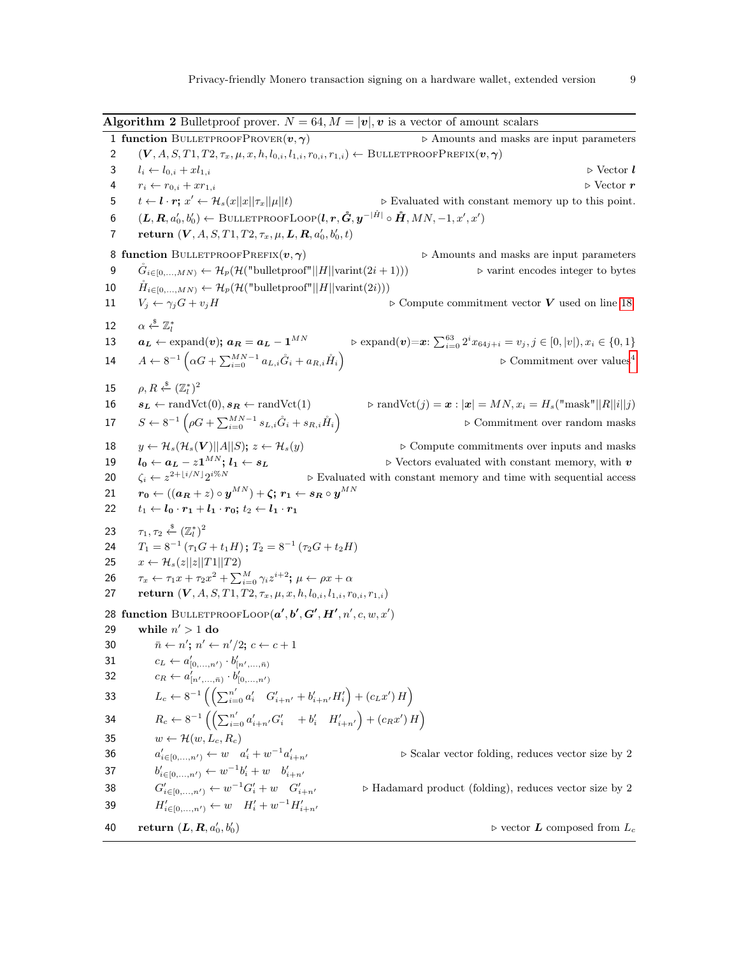<span id="page-8-0"></span>Algorithm 2 Bulletproof prover.  $N = 64, M = |v|, v$  is a vector of amount scalars 1 function BULLETPROOFPROVER $(v, \gamma)$   $\qquad \qquad \triangleright$  Amounts and masks are input parameters 2  $(V, A, S, T1, T2, \tau_x, \mu, x, h, l_{0,i}, l_{1,i}, r_{0,i}, r_{1,i}) \leftarrow \text{BULLETPROOFPREFIX}(\boldsymbol{v}, \boldsymbol{\gamma})$ 3  $l_i \leftarrow l_{0,i} + x l_{1,i}$   $\triangleright$  Vector l 4  $r_i \leftarrow r_{0,i} + xr_{1,i}$   $\triangleright \text{Vector } r$ 5  $t \leftarrow l \cdot r; x' \leftarrow \mathcal{H}_s(x||x||\tau_x||\mu||t)$  $\triangleright$  Evaluated with constant memory up to this point.  $\mathbf{6} \qquad (\boldsymbol{L}, \boldsymbol{R}, a_0', b_0') \leftarrow \text{BulletproofLoop}(\boldsymbol{l}, \boldsymbol{r}, \boldsymbol{\mathring{G}}, \boldsymbol{y}^{-|\hat{H}|} \circ \boldsymbol{\mathring{H}}, MN, -1, x', x')$  $7 \qquad \mathbf{return} \; (\boldsymbol{V}, A, S, T1, T2, \tau_x, \mu, \boldsymbol{L}, \boldsymbol{R}, a_0', b_0', t)$ 8 function BULLETPROOFPREFIX $(v, \gamma)$   $\rightarrow$  Amounts and masks are input parameters 9  $\hat{G}_{i\in[0,...,MN)} \leftarrow \mathcal{H}_p(\mathcal{H}("bulletproof"] | H || \text{variant}(2i + 1)))$   $\triangleright$  varint encodes integer to bytes 10  $H_{i\in[0,...,MN)} \leftarrow \mathcal{H}_p(\mathcal{H}("bulletproof"]|H||variant(2i)))$ 11  $V_i \leftarrow \gamma_i G + v_i H$  . Compute commitment vector V used on line [18](#page-8-0) 12  $\overset{\hspace{0.1em}\mathsf{\scriptscriptstyle\$}}{\leftarrow} \mathbb{Z}_l^*$ 13  $a_L \leftarrow \text{expand}(v); a_R = a_L - 1^{MN}$  $\mathbb{E}^{MN}$  between  $\text{spand}(v) = x: \sum_{i=0}^{63} 2^i x_{64j+i} = v_j, j \in [0, |v|), x_i \in \{0, 1\}$ 14  $A \leftarrow 8^{-1} \left( \alpha G + \sum_{i=0}^{MN-1} a_{L,i} \mathring{G}_i + a_{R,i} \mathring{H}_i \right)$  $\triangleright$  Commitment over values<sup>[4](#page-7-1)</sup> 15  $\rho, R \stackrel{\$}{\leftarrow} (\mathbb{Z}_l^*)^2$ 16  $s_L \leftarrow \text{randVct}(0), s_R \leftarrow \text{randVct}(1)$   $\qquad \qquad \triangleright \text{randVct}(j) = x : |x| = MN, x_i = H_s("mask"||R||i||j)$ 17  $S \leftarrow 8^{-1} \left( \rho G + \sum_{i=0}^{MN-1} s_{L,i} \mathring{G}_i + s_{R,i} \mathring{H}_i \right)$  $\triangleright$  Commitment over random masks 18  $y \leftarrow \mathcal{H}_s(\mathcal{H}_s(\mathbf{V})||A||S); z \leftarrow \mathcal{H}_s(y)$  . Compute commitments over inputs and masks 19  $l_0 \leftarrow a_L - z1$  $\triangleright$  Vectors evaluated with constant memory, with  $\boldsymbol{v}$ 20  $\zeta_i \leftarrow z^{2 + \lfloor i/N \rfloor} 2$  $\triangleright$  Evaluated with constant memory and time with sequential access  $21 \qquad \bm{r_0} \leftarrow ((\bm{a_R}+z) \circ \bm{y}^{MN}) + \bm{\zeta}; \, \bm{r_1} \leftarrow \bm{s_R} \circ \bm{y}^{MN}$ 22  $t_1 \leftarrow l_0 \cdot r_1 + l_1 \cdot r_0; t_2 \leftarrow l_1 \cdot r_1$ 23  $\tau_1, \tau_2 \overset{\hspace{0.1em}\mathsf{\scriptscriptstyle\$}}{\leftarrow} (\mathbb{Z}_l^*)^2$ 24  $T_1 = 8^{-1} (\tau_1 G + t_1 H); T_2 = 8^{-1} (\tau_2 G + t_2 H)$ 25  $x \leftarrow \mathcal{H}_s(z||z||T1||T2)$ 26  $\tau_x \leftarrow \tau_1 x + \tau_2 x^2 + \sum_{i=0}^M \gamma_i z^{i+2}; \ \mu \leftarrow \rho x + \alpha$ 27 return  $(V, A, S, T1, T2, \tau_x, \mu, x, h, l_{0,i}, l_{1,i}, r_{0,i}, r_{1,i})$ 28 function BULLETPROOFLOOP $(a', b', G', H', n', c, w, x')$ 29 while  $n' > 1$  do 30  $\bar{n} \leftarrow n'; n' \leftarrow n'/2; c \leftarrow c + 1$ 31  $c_L \leftarrow a'_{[0,...,n')} \cdot b'_{[n',...,n]}$ 32  $c_R \leftarrow a'_{[n',...,n]}, \cdot b'_{[0,...,n')}$ 33  $L_c \leftarrow 8^{-1} \left( \left( \sum_{i=0}^{n'} a'_i \quad G'_{i+n'} + b'_{i+n'} H'_i \right) + (c_L x') H \right)$ 34  $R_c \leftarrow 8^{-1} \left( \left( \sum_{i=0}^{n'} a'_{i+n'} G'_i + b'_i + H'_{i+n'} \right) + (c_R x') H \right)$ 35  $w \leftarrow \mathcal{H}(w, L_c, R_c)$ 36  $a'_i \in [0,...,n') \leftarrow w \quad a'_i + w^{-1} a'_i$  $\triangleright$  Scalar vector folding, reduces vector size by 2 37 b  $b'_{i\in[0,...,n')}\leftarrow w^{-1}b'_{i}+w\quad b'_{i+n'}$ 38  $G'_{i\in[0,...,n')}\leftarrow w^{-1}G'_{i}+w\quad G'_{i}$  $\triangleright$  Hadamard product (folding), reduces vector size by 2 39  $H'_{i\in[0,...,n')} \leftarrow w \quad H'_{i} + w^{-1}H'_{i+n'}$  ${\bf 40}\quad \quad {\bf return}\;({\bm L},{\bm R},a_0',b_0')$  $\triangleright$  vector **L** composed from  $L_c$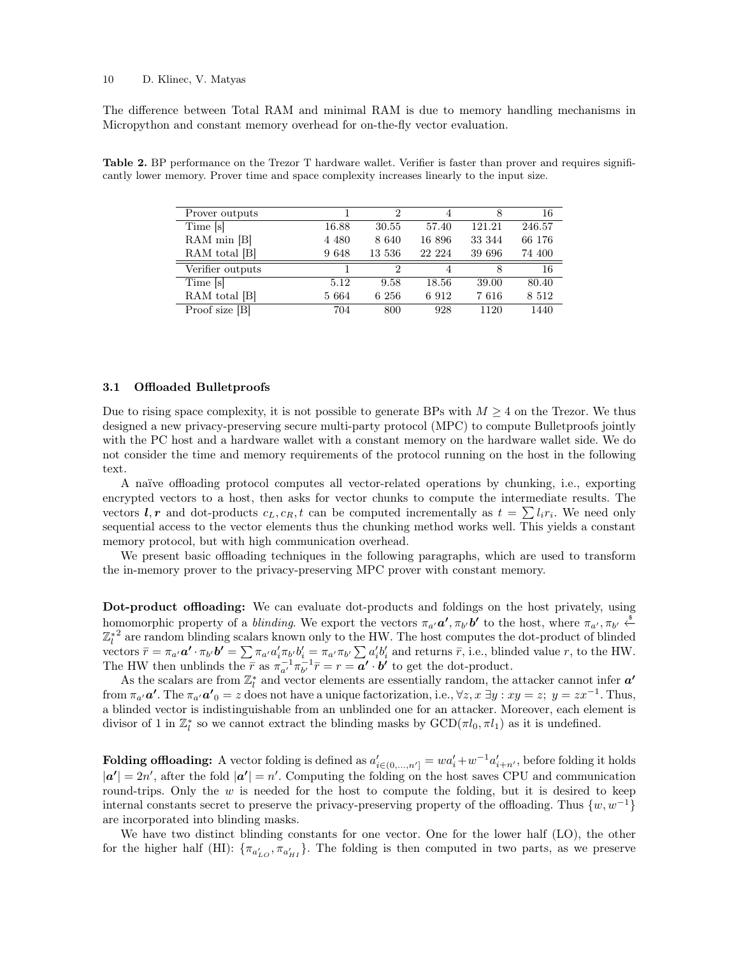The difference between Total RAM and minimal RAM is due to memory handling mechanisms in Micropython and constant memory overhead for on-the-fly vector evaluation.

| Prover outputs   |         | 9        |        |        | 16      |
|------------------|---------|----------|--------|--------|---------|
| Time [s]         | 16.88   | 30.55    | 57.40  | 121.21 | 246.57  |
| RAM min [B]      | 4 4 8 0 | 8 640    | 16 896 | 33 344 | 66 176  |
| RAM total [B]    | 9648    | 13 536   | 22 224 | 39 696 | 74 400  |
| Verifier outputs |         | $\Omega$ |        | 8      | 16      |
| Time [s]         | 5.12    | 9.58     | 18.56  | 39.00  | 80.40   |
| RAM total [B]    | 5 6 6 4 | 6 256    | 6912   | 7 616  | 8 5 1 2 |
| Proof size [B]   | 704     | 800      | 928    | 1120   | 1440    |

<span id="page-9-0"></span>Table 2. BP performance on the Trezor T hardware wallet. Verifier is faster than prover and requires significantly lower memory. Prover time and space complexity increases linearly to the input size.

#### 3.1 Offloaded Bulletproofs

Due to rising space complexity, it is not possible to generate BPs with  $M \geq 4$  on the Trezor. We thus designed a new privacy-preserving secure multi-party protocol (MPC) to compute Bulletproofs jointly with the PC host and a hardware wallet with a constant memory on the hardware wallet side. We do not consider the time and memory requirements of the protocol running on the host in the following text.

A naïve offloading protocol computes all vector-related operations by chunking, i.e., exporting encrypted vectors to a host, then asks for vector chunks to compute the intermediate results. The vectors  $l, r$  and dot-products  $c_L, c_R, t$  can be computed incrementally as  $t = \sum l_i r_i$ . We need only sequential access to the vector elements thus the chunking method works well. This yields a constant memory protocol, but with high communication overhead.

We present basic offloading techniques in the following paragraphs, which are used to transform the in-memory prover to the privacy-preserving MPC prover with constant memory.

Dot-product offloading: We can evaluate dot-products and foldings on the host privately, using homomorphic property of a *blinding*. We export the vectors  $\pi_{a'}a', \pi_{b'}b'$  to the host, where  $\pi_{a'}, \pi_{b'} \stackrel{\$}{\leftarrow}$  $\mathbb{Z}_l^{*2}$  are random blinding scalars known only to the HW. The host computes the dot-product of blinded vectors  $\bar{r} = \pi_{a'} a' \cdot \pi_{b'} b' = \sum \pi_{a'} a'_{i} \pi_{b'} b'_{i} = \pi_{a'} \pi_{b'} \sum a'_{i} b'_{i}$  and returns  $\bar{r}$ , i.e., blinded value r, to the HW. The HW then unblinds the  $\overline{r}$  as  $\pi_{a'}^{-1}\pi_{b'}^{-1}\overline{r} = r = a' \cdot b'$  to get the dot-product.

As the scalars are from  $\mathbb{Z}_l^*$  and vector elements are essentially random, the attacker cannot infer  $a'$ from  $\pi_{a'}a'$ . The  $\pi_{a'}a'_{0} = z$  does not have a unique factorization, i.e.,  $\forall z, x \exists y : xy = z; y = zx^{-1}$ . Thus, a blinded vector is indistinguishable from an unblinded one for an attacker. Moreover, each element is divisor of 1 in  $\mathbb{Z}_l^*$  so we cannot extract the blinding masks by  $GCD(\pi l_0, \pi l_1)$  as it is undefined.

<span id="page-9-1"></span>Folding offloading: A vector folding is defined as  $a'_{i\in(0,...,n']} = wa'_i + w^{-1}a'_{i+n'}$ , before folding it holds  $|\mathbf{a'}|=2n'$ , after the fold  $|\mathbf{a'}|=n'$ . Computing the folding on the host saves CPU and communication round-trips. Only the  $w$  is needed for the host to compute the folding, but it is desired to keep internal constants secret to preserve the privacy-preserving property of the offloading. Thus  $\{w, w^{-1}\}$ are incorporated into blinding masks.

We have two distinct blinding constants for one vector. One for the lower half (LO), the other for the higher half (HI):  $\{\pi_{a'_{LO}}, \pi_{a'_{HI}}\}$ . The folding is then computed in two parts, as we preserve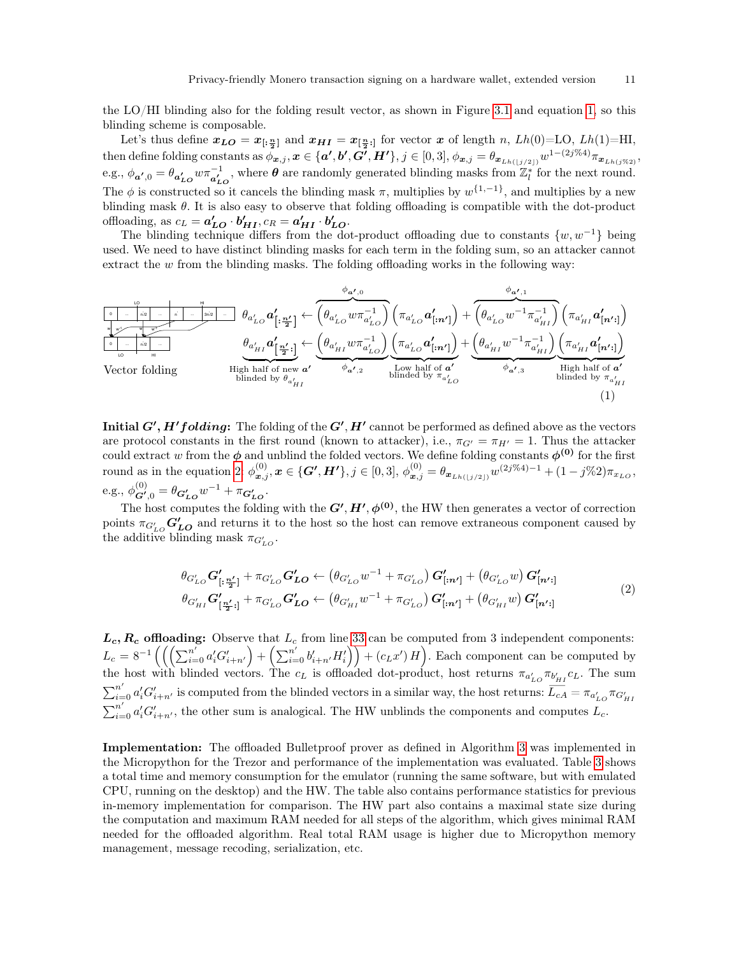the LO/HI blinding also for the folding result vector, as shown in Figure [3.1](#page-9-1) and equation [1,](#page-10-0) so this blinding scheme is composable.

Let's thus define  $x_{LO} = x_{[:\frac{n}{2}]}$  and  $x_{HI} = x_{[\frac{n}{2}]}$  for vector x of length n,  $Lh(0)=$ LO,  $Lh(1)=$ HI, then define folding constants as  $\phi_{\bm{x},j}, \bm{x} \in \{\bm{a'},\bm{b'},\bm{G'},\bm{H'}\}, j \in [0,3], \phi_{\bm{x},j} = \theta_{\bm{x}_{Lh(\lfloor j/2 \rfloor)}}w^{1-(2j\%4)}\pi_{\bm{x}_{Lh(j\%2)}},$ e.g.,  $\phi_{a',0} = \theta_{a'_{LO}} w \pi_{a'_{LO}}^{-1}$ , where  $\theta$  are randomly generated blinding masks from  $\mathbb{Z}_{l}^{*}$  for the next round. The  $\phi$  is constructed so it cancels the blinding mask  $\pi$ , multiplies by  $w^{\{1,-1\}}$ , and multiplies by a new blinding mask  $\theta$ . It is also easy to observe that folding offloading is compatible with the dot-product offloading, as  $c_L = a_{LO}' \cdot b_{HI}'$ ,  $c_R = a_{HI}' \cdot b_{LO}'$ .

The blinding technique differs from the dot-product offloading due to constants  $\{w, w^{-1}\}$  being used. We need to have distinct blinding masks for each term in the folding sum, so an attacker cannot extract the  $w$  from the blinding masks. The folding offloading works in the following way:

<span id="page-10-0"></span>
$$
\frac{\frac{\phi_{a',0}}{\phi_{a',1}} \left(\pi_{a'_{LO}} \mathbf{u}^{-1} \pi_{a'_{H}}^{-1}\right) \left(\pi_{a'_{LO}} \mathbf{u}^{-1} \pi_{a'_{H}}^{-1}\right) \left(\pi_{a'_{LO}} \mathbf{u}^{-1} \pi_{a'_{H}}^{-1}\right) \left(\pi_{a'_{H}} \mathbf{u}'_{H'}\right)}{\frac{\phi_{a',1}}{\phi_{a',1}} \left(\pi_{a'_{L}} \mathbf{u}^{-1} \pi_{a'_{H}}^{-1}\right) \left(\pi_{a'_{H}} \mathbf{u}'_{H'}\right)\right)}
$$
\n
$$
\frac{\frac{\phi_{a',0}}{\phi_{a',1}}}{\frac{\phi_{a'_{H}} \mathbf{u}^{-1} \left(\pi_{a'_{LO}} \mathbf{u}^{-1} \pi_{a'_{L}}^{-1}\right) \left(\pi_{a'_{LO}} \mathbf{u}^{-1} \pi_{a'_{H}}^{-1}\right) \left(\pi_{a'_{H}} \mathbf{u}'_{H'}\right)}{\frac{\phi_{a'_{H}} \mathbf{u}^{-1} \left(\pi_{a'_{H}} \mathbf{u}'_{H'}\right) \left(\pi_{a'_{H}} \mathbf{u}'_{H'}\right) \left(\pi_{a'_{H}} \mathbf{u}'_{H'}\right) \left(\pi_{a'_{H}} \mathbf{u}'_{H'}\right) \left(\pi_{a'_{H}} \mathbf{u}'_{H'}\right)}{\frac{\phi_{a',1}}{\phi_{a',2}} \left(\pi_{a'_{H}} \mathbf{u}^{-1} \pi_{a'_{H}}^{-1}\right) \left(\pi_{a'_{H}} \mathbf{u}'_{H'}\right) \left(\pi_{a'_{H}} \mathbf{u}'_{H'}\right)}{\frac{\phi_{a',1}}{\phi_{a',3}} \left(\pi_{A}} \mathbf{u}'_{H'}\right)}
$$
\n
$$
\frac{\frac{\phi_{a',1}}{\phi_{a',1}} \left(\pi_{a'_{H}} \mathbf{u}'_{H'}\right) \left(\pi_{a'_{H}} \mathbf{u}'_{H'}\right) \left(\pi_{a'_{H}} \mathbf{u}'_{H'}\right)}{\frac{\phi_{a',1}}{\phi_{A}} \left(\pi_{A}} \mathbf{u}'_{H'}\right)}
$$
\n
$$
\frac{\frac{\phi_{a',1}}{\phi_{a',1}} \left(\pi_{a'_{H}} \mathbf
$$

<span id="page-10-2"></span>Initial  $G', H'$  folding: The folding of the  $G', H'$  cannot be performed as defined above as the vectors are protocol constants in the first round (known to attacker), i.e.,  $\pi_{G'} = \pi_{H'} = 1$ . Thus the attacker could extract w from the  $\phi$  and unblind the folded vectors. We define folding constants  $\phi^{(0)}$  for the first round as in the equation [2:](#page-10-1)  $\phi_{\bm{x},j}^{(0)}$ ,  $\bm{x} \in \{\bm{G'},\bm{H'}\}, j \in [0,3], \phi_{\bm{x},j}^{(0)} = \theta_{\bm{x}_{Lh(\lfloor j/2 \rfloor)}} w^{(2j\%4)-1} + (1-j\%) \tau_{x_{LO}},$ e.g.,  $\phi_{\mathbf{G}',0}^{(0)} = \theta_{\mathbf{G}'_{LO}} w^{-1} + \pi_{\mathbf{G}'_{LO}}.$ 

<span id="page-10-1"></span>The host computes the folding with the  $G', H', \phi^{(0)}$ , the HW then generates a vector of correction points  $\pi_{G'_{LO}} G'_{LO}$  and returns it to the host so the host can remove extraneous component caused by the additive blinding mask  $\pi_{G'_{LO}}$ .

$$
\theta_{G'_{LO}} G'_{[:\frac{n'}{2}]} + \pi_{G'_{LO}} G'_{LO} \leftarrow (\theta_{G'_{LO}} w^{-1} + \pi_{G'_{LO}}) G'_{[:n']} + (\theta_{G'_{LO}} w) G'_{[n':]}
$$
\n
$$
\theta_{G'_{HI}} G'_{[\frac{n'}{2}]} + \pi_{G'_{LO}} G'_{LO} \leftarrow (\theta_{G'_{HI}} w^{-1} + \pi_{G'_{LO}}) G'_{[:n']} + (\theta_{G'_{HI}} w) G'_{[n':]}
$$
\n
$$
(2)
$$

 $L_c, R_c$  offloading: Observe that  $L_c$  from line [33](#page-8-0) can be computed from 3 independent components:  $L_c = 8^{-1} \left( \left( \left( \sum_{i=0}^{n'} a'_i G'_{i+n'} \right) + \left( \sum_{i=0}^{n'} b'_{i+n'} H'_i \right) \right) + (c_L x') H \right)$ . Each component can be computed by the host with blinded vectors. The  $c_L$  is offloaded dot-product, host returns  $\pi_{a'_{LO}} \pi_{b'_{HI}} c_L$ . The sum  $\sum_{i=0}^{n'} a'_i G'_{i+n'}$  is computed from the blinded vectors in a similar way, the host returns:  $\overline{L_{cA}} = \pi_{a'_{LO}} \pi_{G'_{D}}$  $\sum_{i=0}^{n'} a_i^j G'_{i+n'}$ , the other sum is analogical. The HW unblinds the components and computes  $L_c$ .

Implementation: The offloaded Bulletproof prover as defined in Algorithm [3](#page-11-0) was implemented in the Micropython for the Trezor and performance of the implementation was evaluated. Table [3](#page-12-0) shows a total time and memory consumption for the emulator (running the same software, but with emulated CPU, running on the desktop) and the HW. The table also contains performance statistics for previous in-memory implementation for comparison. The HW part also contains a maximal state size during the computation and maximum RAM needed for all steps of the algorithm, which gives minimal RAM needed for the offloaded algorithm. Real total RAM usage is higher due to Micropython memory management, message recoding, serialization, etc.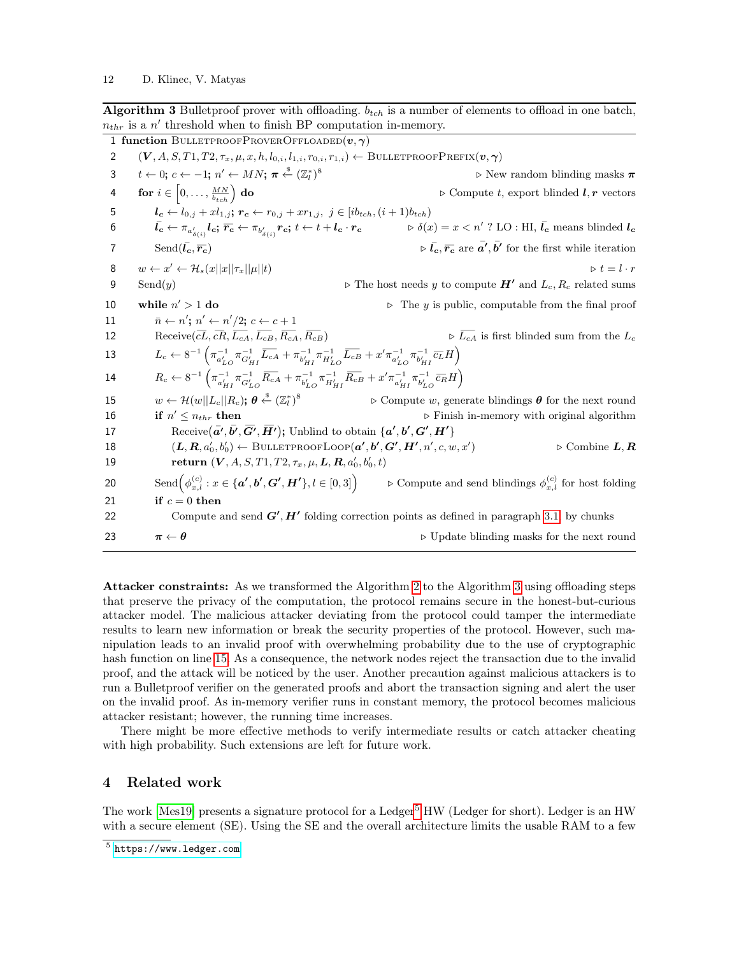Algorithm 3 Bulletproof prover with offloading.  $b_{tch}$  is a number of elements to offload in one batch,  $n_{thr}$  is a  $n'$  threshold when to finish BP computation in-memory.

<span id="page-11-0"></span>

|    | 1 function BULLETPROOFPROVEROFFLOADED $(v, \gamma)$                                                                                                                                                                                                                             |                                                                                                                                                                                                                         |  |  |  |  |  |
|----|---------------------------------------------------------------------------------------------------------------------------------------------------------------------------------------------------------------------------------------------------------------------------------|-------------------------------------------------------------------------------------------------------------------------------------------------------------------------------------------------------------------------|--|--|--|--|--|
| 2  | $(V, A, S, T1, T2, \tau_x, \mu, x, h, l_{0,i}, l_{1,i}, r_{0,i}, r_{1,i}) \leftarrow \text{BulletproofPREFIN}(\boldsymbol{v}, \boldsymbol{\gamma})$                                                                                                                             |                                                                                                                                                                                                                         |  |  |  |  |  |
| 3  | $t \leftarrow 0; c \leftarrow -1; n' \leftarrow MN; \pi \leftarrow (\mathbb{Z}_l^*)^8$                                                                                                                                                                                          | $\triangleright$ New random blinding masks $\pi$                                                                                                                                                                        |  |  |  |  |  |
| 4  | for $i \in [0, \ldots, \frac{MN}{b_{tch}}]$ do                                                                                                                                                                                                                                  | $\triangleright$ Compute t, export blinded $l, r$ vectors                                                                                                                                                               |  |  |  |  |  |
| 5  | $l_c \leftarrow l_{0,j} + x l_{1,j}; \ r_c \leftarrow r_{0,j} + x r_{1,j}, \ j \in [ib_{tch}, (i+1)b_{tch})$                                                                                                                                                                    |                                                                                                                                                                                                                         |  |  |  |  |  |
| 6  | $\overline{l_{\boldsymbol{c}}} \leftarrow \pi_{a'_{\delta(i)}} l_{\boldsymbol{c}}; \, \overline{\boldsymbol{r}_{\boldsymbol{c}}} \leftarrow \pi_{b'_{\delta(i)}} \boldsymbol{r}_{\boldsymbol{c}}; \, t \leftarrow t + l_{\boldsymbol{c}} \cdot \boldsymbol{r}_{\boldsymbol{c}}$ | $\rhd \delta(x) = x < n'$ ?<br>LO : HI, $\bar{l_c}$ means blinded $\bm{l_c}$                                                                                                                                            |  |  |  |  |  |
| 7  | Send $(\bar{l_c}, \bar{r_c})$                                                                                                                                                                                                                                                   | $\triangleright \bar{l_c}, \bar{r_c}$ are $\bar{a}$ , $\bar{b}$ for the first while iteration                                                                                                                           |  |  |  |  |  |
| 8  | $w \leftarrow x' \leftarrow \mathcal{H}_s(x  x  \tau_x  \mu  t)$                                                                                                                                                                                                                | $\triangleright t = l \cdot r$                                                                                                                                                                                          |  |  |  |  |  |
| 9  | $\text{Send}(y)$                                                                                                                                                                                                                                                                | $\triangleright$ The host needs y to compute $H'$ and $L_c, R_c$ related sums                                                                                                                                           |  |  |  |  |  |
| 10 | while $n' > 1$ do                                                                                                                                                                                                                                                               | $\triangleright$ The y is public, computable from the final proof                                                                                                                                                       |  |  |  |  |  |
| 11 | $\bar{n} \leftarrow n' \colon n' \leftarrow n'/2 \colon c \leftarrow c+1$                                                                                                                                                                                                       |                                                                                                                                                                                                                         |  |  |  |  |  |
| 12 | Receive $(\overline{c}\overline{L}, \overline{c}\overline{R}, \overline{L_{cA}}, \overline{L_{cB}}, \overline{R_{cA}}, \overline{R_{cB}})$                                                                                                                                      | $\triangleright$ $\overline{L_{cA}}$ is first blinded sum from the $L_c$                                                                                                                                                |  |  |  |  |  |
| 13 |                                                                                                                                                                                                                                                                                 | $L_c \leftarrow 8^{-1} \left( \pi_{a'_{LO}}^{-1} \pi_{G'_{III}}^{-1} \overline{L_{cA}} + \pi_{b'_{III}}^{-1} \pi_{H'_{LO}}^{-1} \overline{L_{cB}} + x' \pi_{a'_{LO}}^{-1} \pi_{b'_{III}}^{-1} \overline{c_L} H \right)$ |  |  |  |  |  |
| 14 |                                                                                                                                                                                                                                                                                 | $R_c \leftarrow 8^{-1} \left( \pi_{a'_{II}}^{-1} \pi_{G'_{I,Q}}^{-1} \overline{R_{cA}} + \pi_{b'_{I,Q}}^{-1} \pi_{H'_{II}}^{-1} \overline{R_{cB}} + x' \pi_{a'_{II}}^{-1} \pi_{b'_{I,Q}}^{-1} \overline{c_R} H \right)$ |  |  |  |  |  |
| 15 | $w \leftarrow \mathcal{H}(w  L_c  R_c); \boldsymbol{\theta} \stackrel{\$}{\leftarrow} (\mathbb{Z}_l^*)^8$                                                                                                                                                                       | $\triangleright$ Compute $w,$ generate blindings $\pmb{\theta}$ for the next round                                                                                                                                      |  |  |  |  |  |
| 16 | if $n' \leq n_{thr}$ then                                                                                                                                                                                                                                                       | $\triangleright$ Finish in-memory with original algorithm                                                                                                                                                               |  |  |  |  |  |
| 17 |                                                                                                                                                                                                                                                                                 | Receive $(\bar{a'}, \bar{b'}, \bar{G'}, \bar{H'})$ ; Unblind to obtain $\{a', b', G', H'\}$                                                                                                                             |  |  |  |  |  |
| 18 |                                                                                                                                                                                                                                                                                 | $(\mathbf{L}, \mathbf{R}, a'_0, b'_0) \leftarrow \text{BULETPROOFLoop}(\mathbf{a}', \mathbf{b}', \mathbf{G}', \mathbf{H}', n', c, w, x')$<br>$\triangleright$ Combine $L, R$                                            |  |  |  |  |  |
| 19 | <b>return</b> $(V, A, S, T1, T2, \tau_x, \mu, L, R, a'_0, b'_0, t)$                                                                                                                                                                                                             |                                                                                                                                                                                                                         |  |  |  |  |  |
| 20 |                                                                                                                                                                                                                                                                                 | Send $(\phi_{x,l}^{(c)}: x \in \{a', b', G', H'\}, l \in [0,3])$ $\Rightarrow$ Compute and send blindings $\phi_{x,l}^{(c)}$ for host folding                                                                           |  |  |  |  |  |
| 21 | if $c = 0$ then                                                                                                                                                                                                                                                                 |                                                                                                                                                                                                                         |  |  |  |  |  |
| 22 |                                                                                                                                                                                                                                                                                 | Compute and send $G', H'$ folding correction points as defined in paragraph 3.1, by chunks                                                                                                                              |  |  |  |  |  |
| 23 | $\boldsymbol{\pi}\leftarrow\boldsymbol{\theta}$                                                                                                                                                                                                                                 | $\triangleright$ Update blinding masks for the next round                                                                                                                                                               |  |  |  |  |  |

Attacker constraints: As we transformed the Algorithm [2](#page-8-0) to the Algorithm [3](#page-11-0) using offloading steps that preserve the privacy of the computation, the protocol remains secure in the honest-but-curious attacker model. The malicious attacker deviating from the protocol could tamper the intermediate results to learn new information or break the security properties of the protocol. However, such manipulation leads to an invalid proof with overwhelming probability due to the use of cryptographic hash function on line [15.](#page-11-0) As a consequence, the network nodes reject the transaction due to the invalid proof, and the attack will be noticed by the user. Another precaution against malicious attackers is to run a Bulletproof verifier on the generated proofs and abort the transaction signing and alert the user on the invalid proof. As in-memory verifier runs in constant memory, the protocol becomes malicious attacker resistant; however, the running time increases.

There might be more effective methods to verify intermediate results or catch attacker cheating with high probability. Such extensions are left for future work.

## 4 Related work

The work [\[Mes19\]](#page-14-8) presents a signature protocol for a Ledger<sup>[5](#page-11-1)</sup> HW (Ledger for short). Ledger is an HW with a secure element (SE). Using the SE and the overall architecture limits the usable RAM to a few

<span id="page-11-1"></span> $5$  <https://www.ledger.com>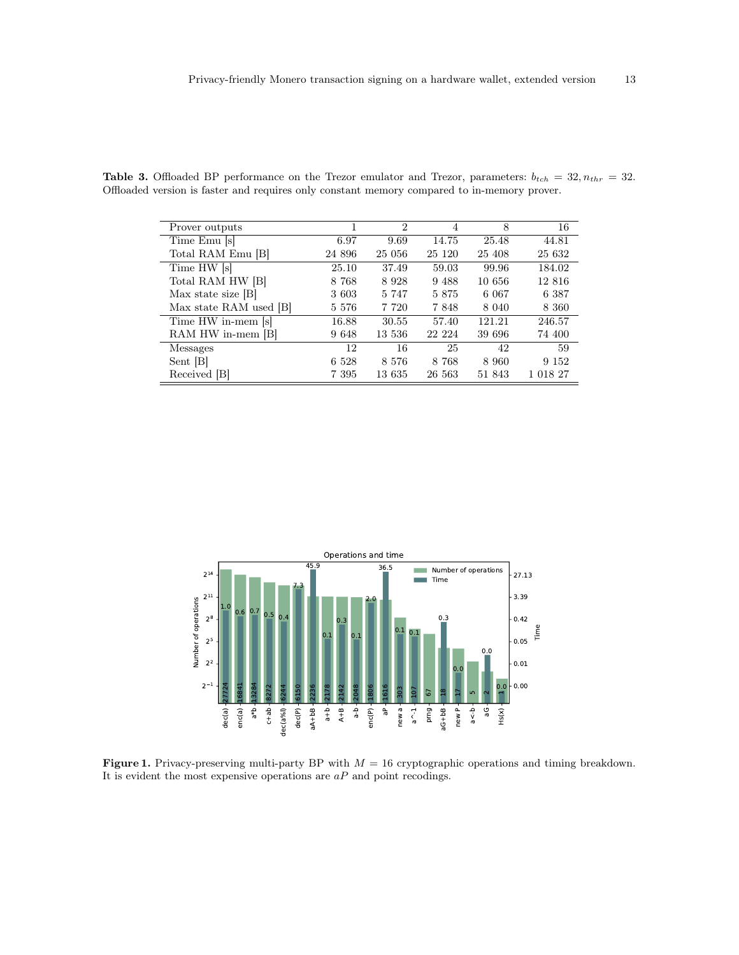| Prover outputs         |         | $\overline{2}$ | 4       | 8       | 16           |
|------------------------|---------|----------------|---------|---------|--------------|
| Time Emu [s]           | 6.97    | 9.69           | 14.75   | 25.48   | 44.81        |
| Total RAM Emu [B]      | 24 896  | 25 056         | 25 1 20 | 25 408  | 25 632       |
| Time HW [s]            | 25.10   | 37.49          | 59.03   | 99.96   | 184.02       |
| Total RAM HW [B]       | 8 7 6 8 | 8928           | 9 4 8 8 | 10 656  | 12 816       |
| Max state size [B]     | 3603    | 5 747          | 5875    | 6 067   | 6 3 8 7      |
| Max state RAM used [B] | 5 5 7 6 | 7 7 2 0        | 7848    | 8 0 4 0 | 8 3 6 0      |
| Time HW in-mem [s]     | 16.88   | 30.55          | 57.40   | 121.21  | 246.57       |
| RAM HW in-mem [B]      | 9648    | 13 536         | 22 224  | 39 696  | 74 400       |
| <b>Messages</b>        | 12      | 16             | 25      | 42      | 59           |
| Sent [B]               | 6 5 28  | 8 5 7 6        | 8768    | 8 9 6 0 | 9 1 5 2      |
| Received [B]           | 7 395   | 13 635         | 26 563  | 51 843  | $1\;018\;27$ |

<span id="page-12-0"></span>**Table 3.** Offloaded BP performance on the Trezor emulator and Trezor, parameters:  $b_{tch} = 32$ ,  $n_{thr} = 32$ . Offloaded version is faster and requires only constant memory compared to in-memory prover.



**Figure 1.** Privacy-preserving multi-party BP with  $M = 16$  cryptographic operations and timing breakdown. It is evident the most expensive operations are  $aP$  and point recodings.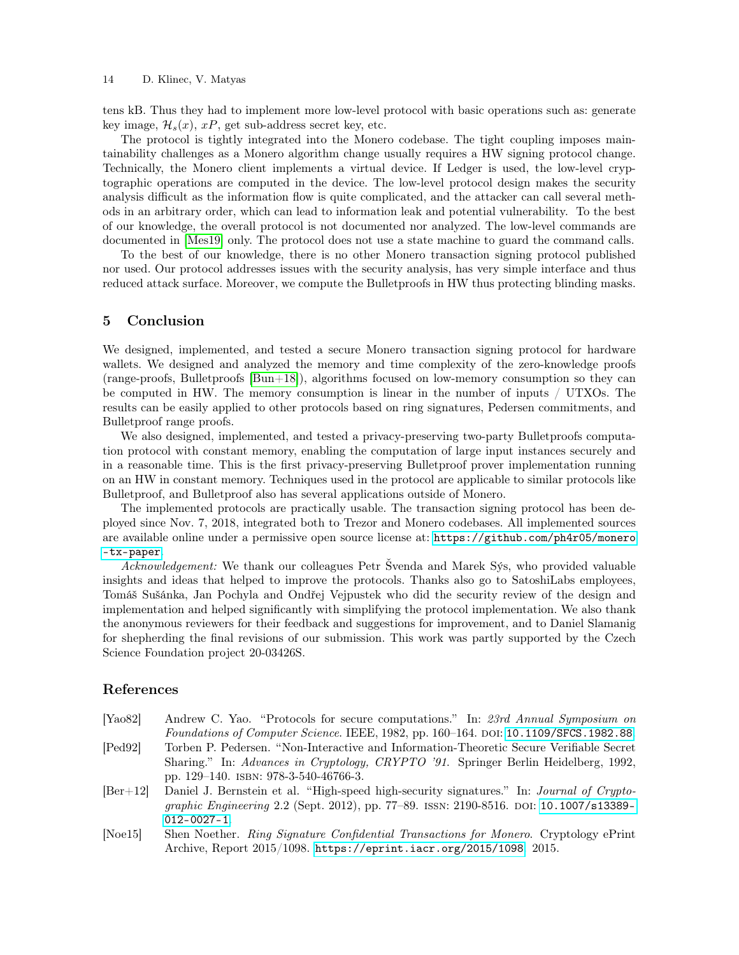tens kB. Thus they had to implement more low-level protocol with basic operations such as: generate key image,  $\mathcal{H}_s(x)$ ,  $xP$ , get sub-address secret key, etc.

The protocol is tightly integrated into the Monero codebase. The tight coupling imposes maintainability challenges as a Monero algorithm change usually requires a HW signing protocol change. Technically, the Monero client implements a virtual device. If Ledger is used, the low-level cryptographic operations are computed in the device. The low-level protocol design makes the security analysis difficult as the information flow is quite complicated, and the attacker can call several methods in an arbitrary order, which can lead to information leak and potential vulnerability. To the best of our knowledge, the overall protocol is not documented nor analyzed. The low-level commands are documented in [\[Mes19\]](#page-14-8) only. The protocol does not use a state machine to guard the command calls.

To the best of our knowledge, there is no other Monero transaction signing protocol published nor used. Our protocol addresses issues with the security analysis, has very simple interface and thus reduced attack surface. Moreover, we compute the Bulletproofs in HW thus protecting blinding masks.

# 5 Conclusion

We designed, implemented, and tested a secure Monero transaction signing protocol for hardware wallets. We designed and analyzed the memory and time complexity of the zero-knowledge proofs (range-proofs, Bulletproofs [\[Bun+18\]](#page-14-7)), algorithms focused on low-memory consumption so they can be computed in HW. The memory consumption is linear in the number of inputs / UTXOs. The results can be easily applied to other protocols based on ring signatures, Pedersen commitments, and Bulletproof range proofs.

We also designed, implemented, and tested a privacy-preserving two-party Bulletproofs computation protocol with constant memory, enabling the computation of large input instances securely and in a reasonable time. This is the first privacy-preserving Bulletproof prover implementation running on an HW in constant memory. Techniques used in the protocol are applicable to similar protocols like Bulletproof, and Bulletproof also has several applications outside of Monero.

The implemented protocols are practically usable. The transaction signing protocol has been deployed since Nov. 7, 2018, integrated both to Trezor and Monero codebases. All implemented sources are available online under a permissive open source license at: [https://github.com/ph4r05/monero](https://github.com/ph4r05/monero-tx-paper) [-tx-paper](https://github.com/ph4r05/monero-tx-paper).

Acknowledgement: We thank our colleagues Petr Syenda and Marek Sys, who provided valuable insights and ideas that helped to improve the protocols. Thanks also go to SatoshiLabs employees, Tomáš Sušánka, Jan Pochyla and Ondřej Vejpustek who did the security review of the design and implementation and helped significantly with simplifying the protocol implementation. We also thank the anonymous reviewers for their feedback and suggestions for improvement, and to Daniel Slamanig for shepherding the final revisions of our submission. This work was partly supported by the Czech Science Foundation project 20-03426S.

# References

- <span id="page-13-1"></span>[Yao82] Andrew C. Yao. "Protocols for secure computations." In: 23rd Annual Symposium on Foundations of Computer Science. IEEE, 1982, pp. 160–164. DOI: [10.1109/SFCS.1982.88](https://doi.org/10.1109/SFCS.1982.88). [Ped92] Torben P. Pedersen. "Non-Interactive and Information-Theoretic Secure Verifiable Secret
- <span id="page-13-0"></span>Sharing." In: Advances in Cryptology, CRYPTO '91. Springer Berlin Heidelberg, 1992, pp. 129–140. isbn: 978-3-540-46766-3.
- <span id="page-13-2"></span>[Ber+12] Daniel J. Bernstein et al. "High-speed high-security signatures." In: Journal of Cryptographic Engineering 2.2 (Sept. 2012), pp. 77–89. issn: 2190-8516. doi: [10.1007/s13389-](https://doi.org/10.1007/s13389-012-0027-1) [012-0027-1](https://doi.org/10.1007/s13389-012-0027-1).
- <span id="page-13-3"></span>[Noe15] Shen Noether. Ring Signature Confidential Transactions for Monero. Cryptology ePrint Archive, Report 2015/1098. <https://eprint.iacr.org/2015/1098>. 2015.